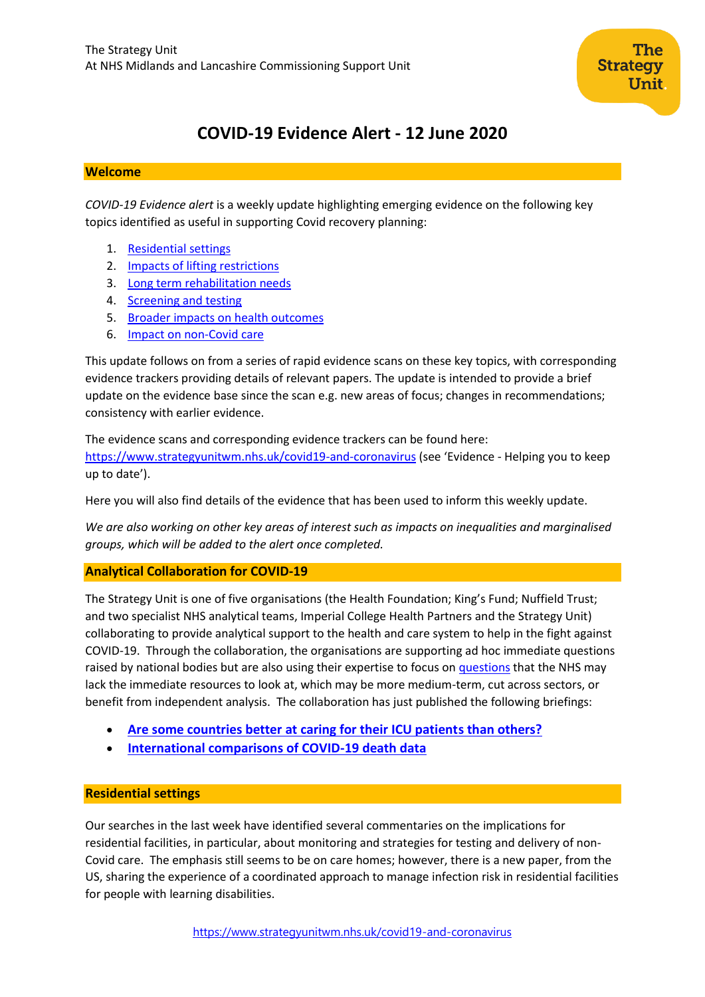# **COVID-19 Evidence Alert - 12 June 2020**

## **Welcome**

*COVID-19 Evidence alert* is a weekly update highlighting emerging evidence on the following key topics identified as useful in supporting Covid recovery planning:

- 1. [Residential settings](#page-0-0)
- 2. [Impacts of lifting restrictions](#page-1-0)
- 3. [Long term rehabilitation needs](#page-4-0)
- 4. [Screening and testing](#page-6-0)
- 5. [Broader impacts on health outcomes](#page-8-0)
- 6. Impact on non-Covid care

This update follows on from a series of rapid evidence scans on these key topics, with corresponding evidence trackers providing details of relevant papers. The update is intended to provide a brief update on the evidence base since the scan e.g. new areas of focus; changes in recommendations; consistency with earlier evidence.

The evidence scans and corresponding evidence trackers can be found here: <https://www.strategyunitwm.nhs.uk/covid19-and-coronavirus> (see 'Evidence - Helping you to keep up to date').

Here you will also find details of the evidence that has been used to inform this weekly update.

*We are also working on other key areas of interest such as impacts on inequalities and marginalised groups, which will be added to the alert once completed.*

## **Analytical Collaboration for COVID-19**

The Strategy Unit is one of five organisations (the Health Foundation; King's Fund; Nuffield Trust; and two specialist NHS analytical teams, Imperial College Health Partners and the Strategy Unit) collaborating to provide analytical support to the health and care system to help in the fight against COVID-19. Through the collaboration, the organisations are supporting ad hoc immediate questions raised by national bodies but are also using their expertise to focus o[n questions](https://www.strategyunitwm.nhs.uk/sites/default/files/2020-05/Covid%20Collaboration%20Summaries_0.pdf) that the NHS may lack the immediate resources to look at, which may be more medium-term, cut across sectors, or benefit from independent analysis. The collaboration has just published the following briefings:

- **[Are some countries better at caring for their ICU patients than others?](https://www.strategyunitwm.nhs.uk/sites/default/files/2020-06/Collab%20ICU%20brief%20for%20publication.pdf)**
- **[International comparisons of COVID-19 death data](https://www.strategyunitwm.nhs.uk/sites/default/files/2020-06/Collab%20mortality%20brief%20for%20publication.pdf)**

## <span id="page-0-0"></span>**Residential settings**

Our searches in the last week have identified several commentaries on the implications for residential facilities, in particular, about monitoring and strategies for testing and delivery of non-Covid care. The emphasis still seems to be on care homes; however, there is a new paper, from the US, sharing the experience of a coordinated approach to manage infection risk in residential facilities for people with learning disabilities.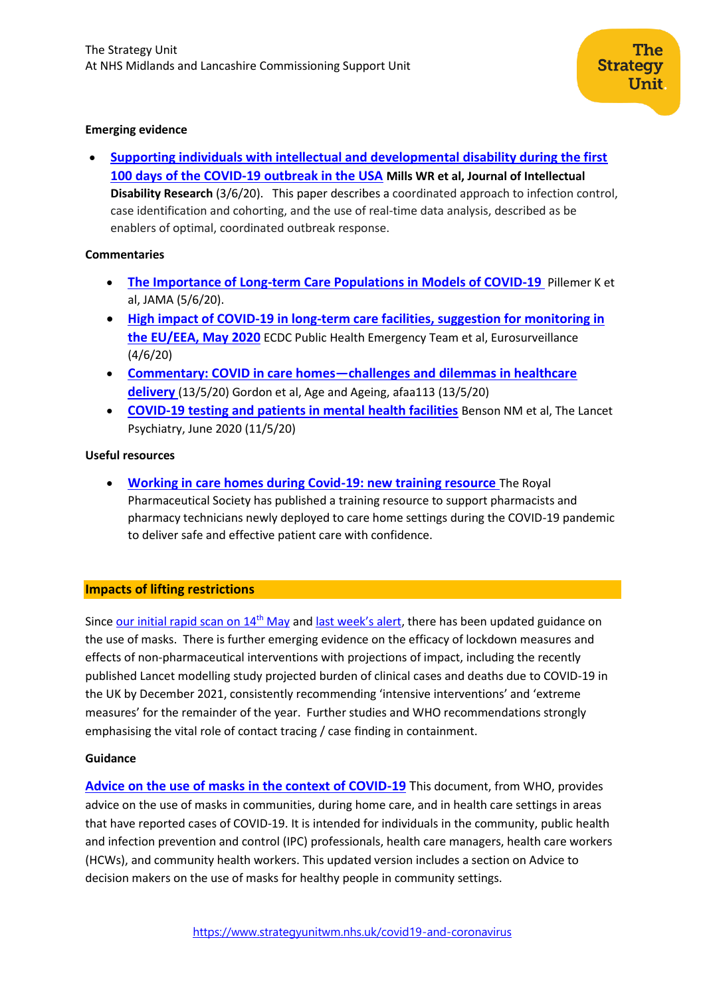## **Emerging evidence**

• **[Supporting individuals with intellectual and developmental disability during the first](https://onlinelibrary.wiley.com/doi/full/10.1111/jir.12740)  100 [days of the COVID‐19 outbreak in the USA](https://onlinelibrary.wiley.com/doi/full/10.1111/jir.12740) Mills WR et al, Journal of Intellectual Disability Research** (3/6/20). This paper describes a coordinated approach to infection control, case identification and cohorting, and the use of real‐time data analysis, described as be enablers of optimal, coordinated outbreak response.

## **Commentaries**

- **[The Importance of Long-term Care Populations in Models of COVID-19](https://jamanetwork.com/journals/jama/article-abstract/2767062)** Pillemer K et al, JAMA (5/6/20).
- **[High impact of COVID-19 in long-term care facilities, suggestion for monitoring in](https://www.eurosurveillance.org/content/10.2807/1560-7917.ES.2020.25.22.2000956;jsessionid=3J2C0s4lvuDr3TVRh0h3b3Og.i-0b3d9850f4681504f-ecdclive)  [the EU/EEA, May 2020](https://www.eurosurveillance.org/content/10.2807/1560-7917.ES.2020.25.22.2000956;jsessionid=3J2C0s4lvuDr3TVRh0h3b3Og.i-0b3d9850f4681504f-ecdclive)** ECDC Public Health Emergency Team et al, Eurosurveillance (4/6/20)
- **Commentary: COVID in care homes—[challenges and dilemmas in healthcare](https://academic.oup.com/ageing/advance-article/doi/10.1093/ageing/afaa113/5836695)  [delivery](https://academic.oup.com/ageing/advance-article/doi/10.1093/ageing/afaa113/5836695)** (13/5/20) Gordon et al, Age and Ageing, afaa113 (13/5/20)
- **[COVID-19 testing and patients in mental health facilities](https://www.thelancet.com/journals/lanpsy/article/PIIS2215-0366(20)30198-X/fulltext)** Benson NM et al, The Lancet Psychiatry, June 2020 (11/5/20)

## **Useful resources**

• **[Working in care homes during Covid-19: new training resource](http://www.networks.nhs.uk/networks/news/working-in-care-homes-during-covid-19-new-training-resource)** The Royal Pharmaceutical Society has published a training resource to support pharmacists and pharmacy technicians newly deployed to care home settings during the COVID-19 pandemic to deliver safe and effective patient care with confidence.

## <span id="page-1-0"></span>**Impacts of lifting restrictions**

Since [our initial rapid scan on](https://www.strategyunitwm.nhs.uk/sites/default/files/2020-05/20200514%20Evidence%20rapid%20scan%203%20-%20Lifting%20Restrictions.pdf) 14<sup>th</sup> May and [last week's alert](https://www.strategyunitwm.nhs.uk/sites/default/files/2020-06/SU_CovidEvidence_WeeklyAlert_04062020.pdf), there has been updated guidance on the use of masks. There is further emerging evidence on the efficacy of lockdown measures and effects of non-pharmaceutical interventions with projections of impact, including the recently published Lancet modelling study projected burden of clinical cases and deaths due to COVID-19 in the UK by December 2021, consistently recommending 'intensive interventions' and 'extreme measures' for the remainder of the year. Further studies and WHO recommendations strongly emphasising the vital role of contact tracing / case finding in containment.

## **Guidance**

**[Advice on the use of masks in the context of COVID-19](https://www.who.int/publications/i/item/advice-on-the-use-of-masks-in-the-community-during-home-care-and-in-healthcare-settings-in-the-context-of-the-novel-coronavirus-(2019-ncov)-outbreak)** This document, from WHO, provides advice on the use of masks in communities, during home care, and in health care settings in areas that have reported cases of COVID-19. It is intended for individuals in the community, public health and infection prevention and control (IPC) professionals, health care managers, health care workers (HCWs), and community health workers. This updated version includes a section on Advice to decision makers on the use of masks for healthy people in community settings.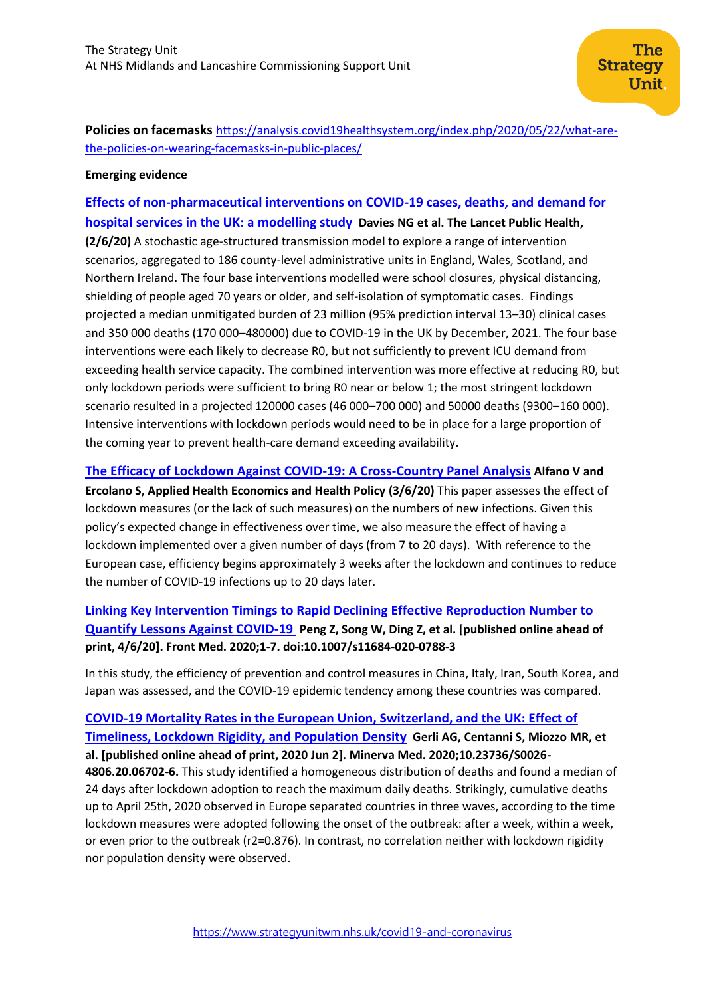**Policies on facemasks** [https://analysis.covid19healthsystem.org/index.php/2020/05/22/what-are](https://analysis.covid19healthsystem.org/index.php/2020/05/22/what-are-the-policies-on-wearing-facemasks-in-public-places/)[the-policies-on-wearing-facemasks-in-public-places/](https://analysis.covid19healthsystem.org/index.php/2020/05/22/what-are-the-policies-on-wearing-facemasks-in-public-places/)

#### **Emerging evidence**

# **[Effects of non-pharmaceutical interventions on COVID-19 cases, deaths, and demand for](https://www.thelancet.com/pdfs/journals/lanpub/PIIS2468-2667(20)30133-X.pdf)  [hospital services in the UK: a modelling study](https://www.thelancet.com/pdfs/journals/lanpub/PIIS2468-2667(20)30133-X.pdf) Davies NG et al. The Lancet Public Health,**

**(2/6/20)** A stochastic age-structured transmission model to explore a range of intervention scenarios, aggregated to 186 county-level administrative units in England, Wales, Scotland, and Northern Ireland. The four base interventions modelled were school closures, physical distancing, shielding of people aged 70 years or older, and self-isolation of symptomatic cases. Findings projected a median unmitigated burden of 23 million (95% prediction interval 13–30) clinical cases and 350 000 deaths (170 000–480000) due to COVID-19 in the UK by December, 2021. The four base interventions were each likely to decrease R0, but not sufficiently to prevent ICU demand from exceeding health service capacity. The combined intervention was more effective at reducing R0, but only lockdown periods were sufficient to bring R0 near or below 1; the most stringent lockdown scenario resulted in a projected 120000 cases (46 000–700 000) and 50000 deaths (9300–160 000). Intensive interventions with lockdown periods would need to be in place for a large proportion of the coming year to prevent health-care demand exceeding availability.

## **The Efficacy of [Lockdown Against COVID-19: A Cross-Country Panel Analysis](https://link.springer.com/article/10.1007/s40258-020-00596-3) Alfano V and**

**Ercolano S, Applied Health Economics and Health Policy (3/6/20)** This paper assesses the effect of lockdown measures (or the lack of such measures) on the numbers of new infections. Given this policy's expected change in effectiveness over time, we also measure the effect of having a lockdown implemented over a given number of days (from 7 to 20 days). With reference to the European case, efficiency begins approximately 3 weeks after the lockdown and continues to reduce the number of COVID-19 infections up to 20 days later.

# **[Linking Key Intervention Timings to Rapid Declining Effective Reproduction Number to](https://pubmed.ncbi.nlm.nih.gov/32495288/)  [Quantify Lessons Against COVID-19](https://pubmed.ncbi.nlm.nih.gov/32495288/) Peng Z, Song W, Ding Z, et al. [published online ahead of print, 4/6/20]. Front Med. 2020;1‐7. doi:10.1007/s11684-020-0788-3**

In this study, the efficiency of prevention and control measures in China, Italy, Iran, South Korea, and Japan was assessed, and the COVID-19 epidemic tendency among these countries was compared.

# **[COVID-19 Mortality Rates in the European Union, Switzerland, and the UK: Effect of](https://pubmed.ncbi.nlm.nih.gov/32491297/)  [Timeliness, Lockdown Rigidity, and Population Density](https://pubmed.ncbi.nlm.nih.gov/32491297/) Gerli AG, Centanni S, Miozzo MR, et al. [published online ahead of print, 2020 Jun 2]. Minerva Med. 2020;10.23736/S0026- 4806.20.06702-6.** This study identified a homogeneous distribution of deaths and found a median of 24 days after lockdown adoption to reach the maximum daily deaths. Strikingly, cumulative deaths up to April 25th, 2020 observed in Europe separated countries in three waves, according to the time lockdown measures were adopted following the onset of the outbreak: after a week, within a week, or even prior to the outbreak (r2=0.876). In contrast, no correlation neither with lockdown rigidity

nor population density were observed.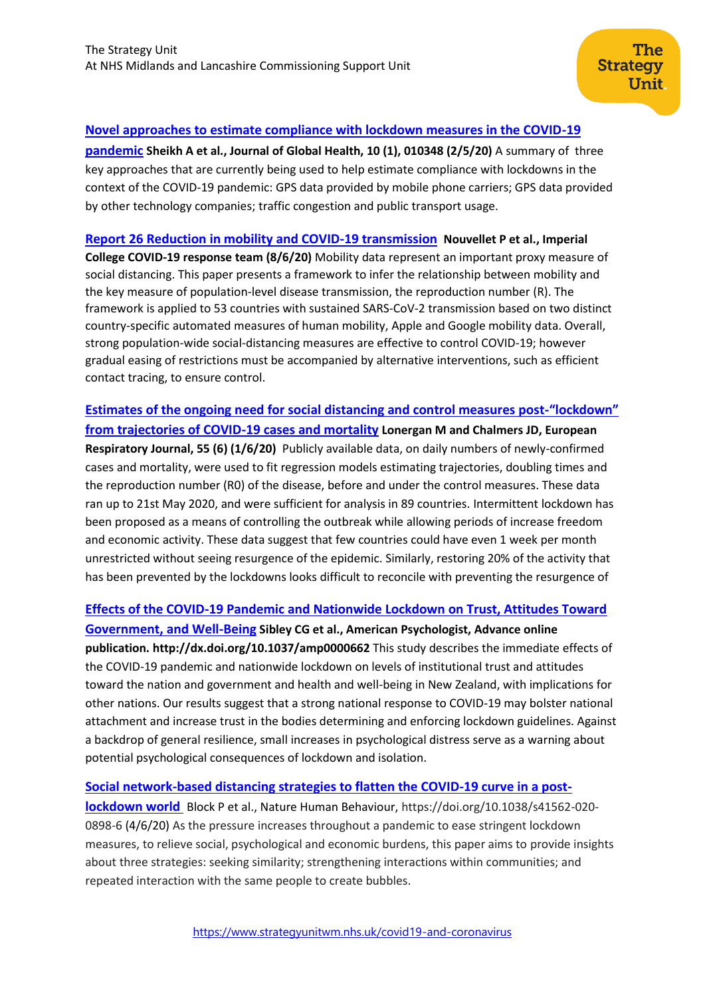## **[Novel approaches to estimate compliance with lockdown measures in the COVID-19](https://www.ncbi.nlm.nih.gov/pmc/articles/PMC7211415/)**

**[pandemic](https://www.ncbi.nlm.nih.gov/pmc/articles/PMC7211415/) Sheikh A et al., Journal of Global Health, 10 (1), 010348 (2/5/20)** A summary of three key approaches that are currently being used to help estimate compliance with lockdowns in the context of the COVID-19 pandemic: GPS data provided by mobile phone carriers; GPS data provided by other technology companies; traffic congestion and public transport usage.

## **[Report 26 Reduction in mobility and COVID-19 transmission](https://www.imperial.ac.uk/media/imperial-college/medicine/mrc-gida/2020-06-08-COVID19-Report-26.pdf) Nouvellet P et al., Imperial**

**College COVID-19 response team (8/6/20)** Mobility data represent an important proxy measure of social distancing. This paper presents a framework to infer the relationship between mobility and the key measure of population-level disease transmission, the reproduction number (R). The framework is applied to 53 countries with sustained SARS-CoV-2 transmission based on two distinct country-specific automated measures of human mobility, Apple and Google mobility data. Overall, strong population-wide social-distancing measures are effective to control COVID-19; however gradual easing of restrictions must be accompanied by alternative interventions, such as efficient contact tracing, to ensure control.

**[Estimates of the ongoing need for social distancing and control measures post-](https://erj.ersjournals.com/content/early/2020/05/26/13993003.01483-2020)"lockdown" [from trajectories of COVID-19 cases and mortality](https://erj.ersjournals.com/content/early/2020/05/26/13993003.01483-2020) Lonergan M and Chalmers JD, European Respiratory Journal, 55 (6) (1/6/20)** Publicly available data, on daily numbers of newly-confirmed cases and mortality, were used to fit regression models estimating trajectories, doubling times and the reproduction number (R0) of the disease, before and under the control measures. These data ran up to 21st May 2020, and were sufficient for analysis in 89 countries. Intermittent lockdown has been proposed as a means of controlling the outbreak while allowing periods of increase freedom and economic activity. These data suggest that few countries could have even 1 week per month unrestricted without seeing resurgence of the epidemic. Similarly, restoring 20% of the activity that has been prevented by the lockdowns looks difficult to reconcile with preventing the resurgence of

## **[Effects of the COVID-19 Pandemic and Nationwide Lockdown on Trust, Attitudes Toward](https://doi.apa.org/fulltext/2020-39514-001.html)**

**[Government, and Well-Being](https://doi.apa.org/fulltext/2020-39514-001.html) Sibley CG et al., American Psychologist, Advance online publication. http://dx.doi.org/10.1037/amp0000662** This study describes the immediate effects of the COVID-19 pandemic and nationwide lockdown on levels of institutional trust and attitudes toward the nation and government and health and well-being in New Zealand, with implications for other nations. Our results suggest that a strong national response to COVID-19 may bolster national attachment and increase trust in the bodies determining and enforcing lockdown guidelines. Against a backdrop of general resilience, small increases in psychological distress serve as a warning about potential psychological consequences of lockdown and isolation.

## **[Social network-based distancing strategies to flatten the COVID-19 curve in a post-](https://www.nature.com/articles/s41562-020-0898-6)**

**[lockdown world](https://www.nature.com/articles/s41562-020-0898-6)** Block P et al., Nature Human Behaviour, https://doi.org/10.1038/s41562-020- 0898-6 (4/6/20) As the pressure increases throughout a pandemic to ease stringent lockdown measures, to relieve social, psychological and economic burdens, this paper aims to provide insights about three strategies: seeking similarity; strengthening interactions within communities; and repeated interaction with the same people to create bubbles.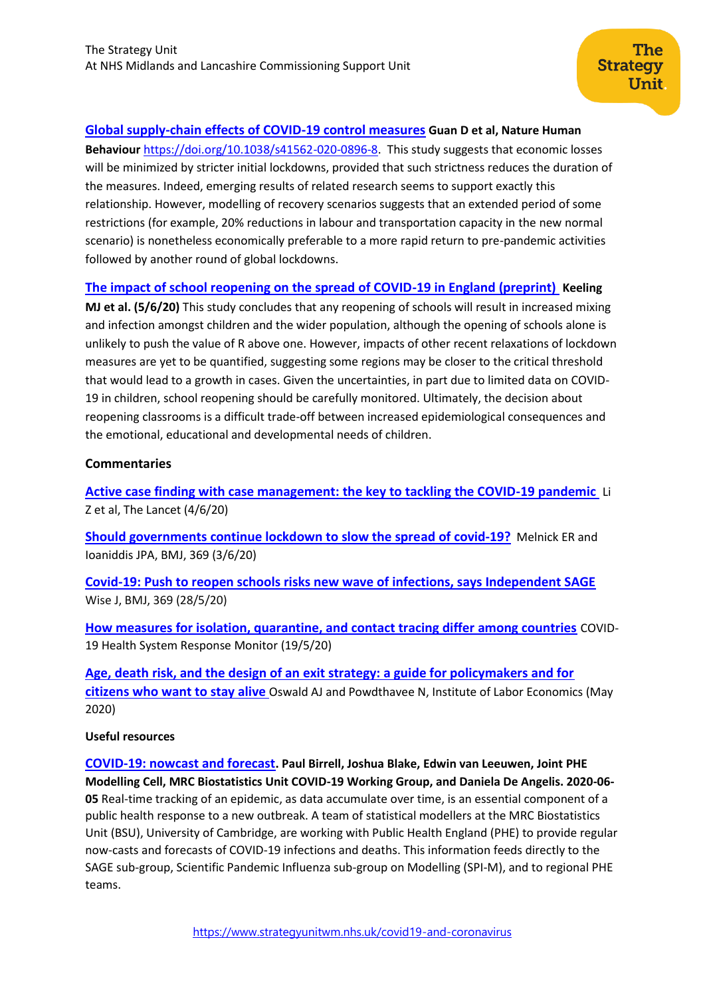# **[Global supply-chain effects of COVID-19 control measures](https://www.nature.com/articles/s41562-020-0896-8) Guan D et al, Nature Human**

**Behaviour** [https://doi.org/10.1038/s41562-020-0896-8.](https://doi.org/10.1038/s41562-020-0896-8) This study suggests that economic losses will be minimized by stricter initial lockdowns, provided that such strictness reduces the duration of the measures. Indeed, emerging results of related research seems to support exactly this relationship. However, modelling of recovery scenarios suggests that an extended period of some restrictions (for example, 20% reductions in labour and transportation capacity in the new normal scenario) is nonetheless economically preferable to a more rapid return to pre-pandemic activities followed by another round of global lockdowns.

# **[The impact of school reopening on the spread of COVID-19 in England \(preprint\)](https://www.medrxiv.org/content/10.1101/2020.06.04.20121434v1) Keeling**

**MJ et al. (5/6/20)** This study concludes that any reopening of schools will result in increased mixing and infection amongst children and the wider population, although the opening of schools alone is unlikely to push the value of R above one. However, impacts of other recent relaxations of lockdown measures are yet to be quantified, suggesting some regions may be closer to the critical threshold that would lead to a growth in cases. Given the uncertainties, in part due to limited data on COVID-19 in children, school reopening should be carefully monitored. Ultimately, the decision about reopening classrooms is a difficult trade-off between increased epidemiological consequences and the emotional, educational and developmental needs of children.

## **Commentaries**

**[Active case finding with case management: the key to tackling the COVID-19 pandemic](https://www.thelancet.com/journals/lancet/article/PIIS0140-6736(20)31278-2/fulltext#seccestitle10)** Li Z et al, The Lancet (4/6/20)

**[Should governments continue lockdown to slow the spread of covid-19?](https://www.bmj.com/content/369/bmj.m1924)** Melnick ER and Ioaniddis JPA, BMJ, 369 (3/6/20)

**[Covid-19: Push to reopen schools risks new wave of infections, says Independent SAGE](https://www.bmj.com/content/369/bmj.m2161)** Wise J, BMJ, 369 (28/5/20)

**[How measures for isolation, quarantine, and contact tracing differ among countries](https://analysis.covid19healthsystem.org/index.php/2020/05/19/how-do-measures-for-isolation-quarantine-and-contact-tracing-differ-among-countries/)** COVID-19 Health System Response Monitor (19/5/20)

**[Age, death risk, and the design of an exit strategy: a guide for policymakers and for](http://ftp.iza.org/dp13221.pdf)  [citizens who want to stay alive](http://ftp.iza.org/dp13221.pdf)** Oswald AJ and Powdthavee N, Institute of Labor Economics (May 2020)

## **Useful resources**

<span id="page-4-0"></span>**[COVID-19: nowcast and forecast](https://www.mrc-bsu.cam.ac.uk/now-casting/). Paul Birrell, Joshua Blake, Edwin van Leeuwen, Joint PHE Modelling Cell, MRC Biostatistics Unit COVID-19 Working Group, and Daniela De Angelis. 2020-06- 05** Real-time tracking of an epidemic, as data accumulate over time, is an essential component of a public health response to a new outbreak. A team of statistical modellers at the MRC Biostatistics Unit (BSU), University of Cambridge, are working with Public Health England (PHE) to provide regular now-casts and forecasts of COVID-19 infections and deaths. This information feeds directly to the SAGE sub-group, Scientific Pandemic Influenza sub-group on Modelling (SPI-M), and to regional PHE teams.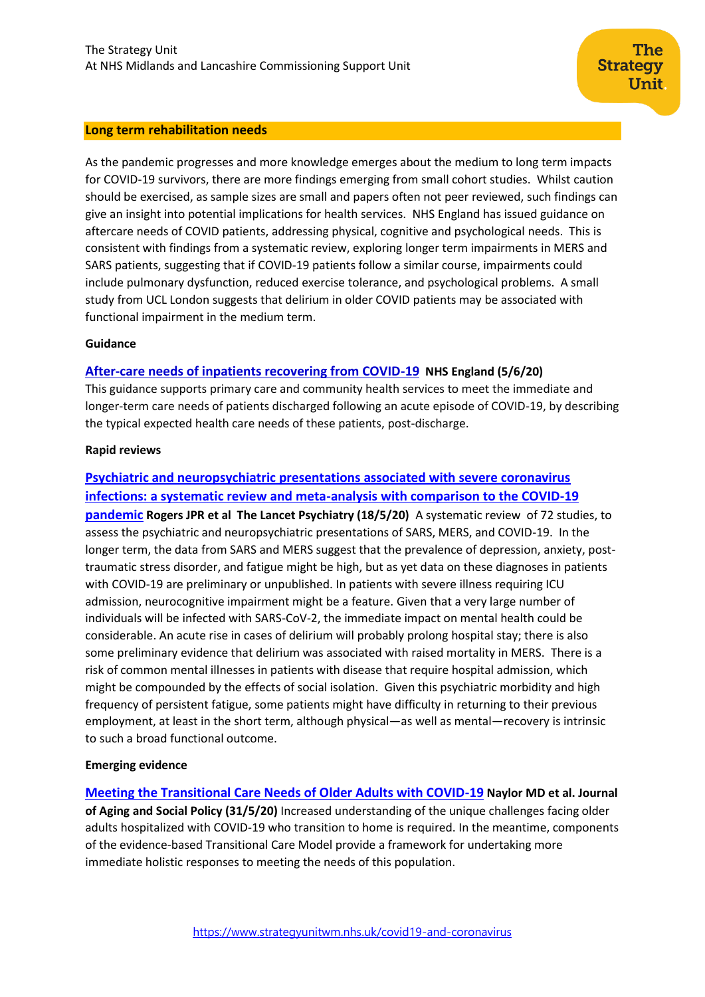#### **Long term rehabilitation needs**

As the pandemic progresses and more knowledge emerges about the medium to long term impacts for COVID-19 survivors, there are more findings emerging from small cohort studies. Whilst caution should be exercised, as sample sizes are small and papers often not peer reviewed, such findings can give an insight into potential implications for health services. NHS England has issued guidance on aftercare needs of COVID patients, addressing physical, cognitive and psychological needs. This is consistent with findings from a systematic review, exploring longer term impairments in MERS and SARS patients, suggesting that if COVID-19 patients follow a similar course, impairments could include pulmonary dysfunction, reduced exercise tolerance, and psychological problems. A small study from UCL London suggests that delirium in older COVID patients may be associated with functional impairment in the medium term.

#### **Guidance**

## **[After-care needs of inpatients recovering from COVID-19](https://www.england.nhs.uk/coronavirus/publication/after-care-needs-of-inpatients-recovering-from-covid-19/) NHS England (5/6/20)**

This guidance supports primary care and community health services to meet the immediate and longer-term care needs of patients discharged following an acute episode of COVID-19, by describing the typical expected health care needs of these patients, post-discharge.

#### **Rapid reviews**

# **[Psychiatric and neuropsychiatric presentations associated with severe coronavirus](https://www.thelancet.com/journals/lanpsy/article/PIIS2215-0366(20)30203-0/fulltext#seccestitle10)**

**[infections: a systematic review and meta-analysis with](https://www.thelancet.com/journals/lanpsy/article/PIIS2215-0366(20)30203-0/fulltext#seccestitle10) comparison to the COVID-19 [pandemic](https://www.thelancet.com/journals/lanpsy/article/PIIS2215-0366(20)30203-0/fulltext#seccestitle10) Rogers JPR et al The Lancet Psychiatry (18/5/20)** A systematic review of 72 studies, to assess the psychiatric and neuropsychiatric presentations of SARS, MERS, and COVID-19. In the longer term, the data from SARS and MERS suggest that the prevalence of depression, anxiety, posttraumatic stress disorder, and fatigue might be high, but as yet data on these diagnoses in patients with COVID-19 are preliminary or unpublished. In patients with severe illness requiring ICU admission, neurocognitive impairment might be a feature. Given that a very large number of individuals will be infected with SARS-CoV-2, the immediate impact on mental health could be considerable. An acute rise in cases of delirium will probably prolong hospital stay; there is also some preliminary evidence that delirium was associated with raised mortality in MERS. There is a risk of common mental illnesses in patients with disease that require hospital admission, which might be compounded by the effects of social isolation. Given this psychiatric morbidity and high frequency of persistent fatigue, some patients might have difficulty in returning to their previous employment, at least in the short term, although physical—as well as mental—recovery is intrinsic to such a broad functional outcome.

#### **Emerging evidence**

**[Meeting the Transitional Care Needs of Older Adults with COVID-19](https://www.tandfonline.com/doi/full/10.1080/08959420.2020.1773189) Naylor MD et al. Journal of Aging and Social Policy (31/5/20)** Increased understanding of the unique challenges facing older adults hospitalized with COVID-19 who transition to home is required. In the meantime, components of the evidence-based Transitional Care Model provide a framework for undertaking more immediate holistic responses to meeting the needs of this population.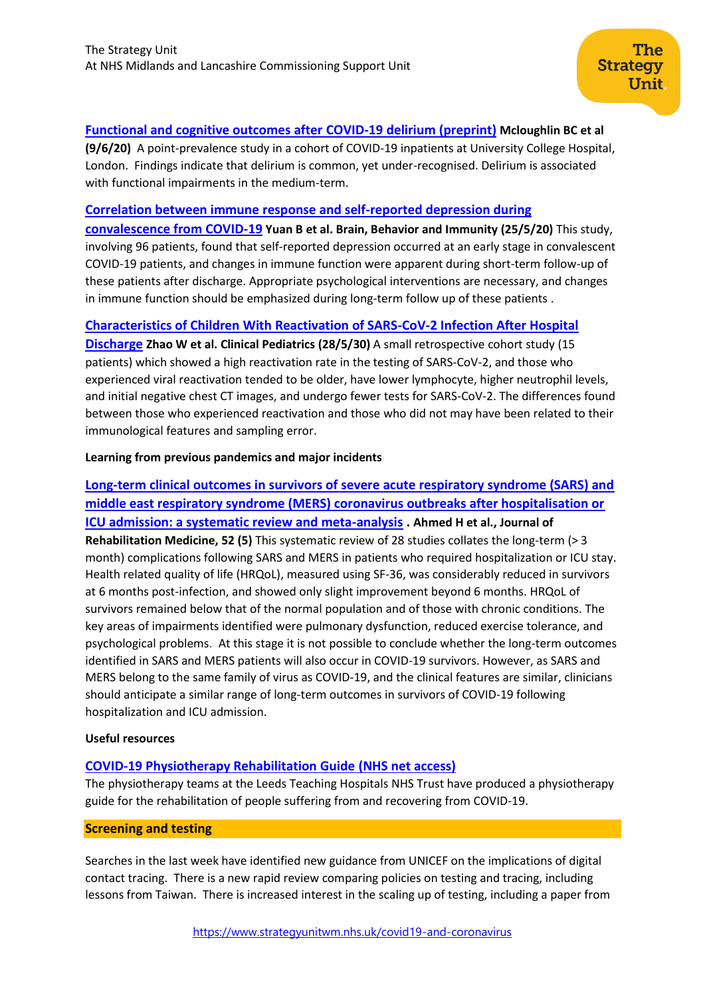## **[Functional and cognitive outcomes after COVID-19 delirium](https://www.medrxiv.org/content/10.1101/2020.06.07.20115188v1.full.pdf+html) (preprint) Mcloughlin BC et al**

The

Unit

**Strategy** 

**(9/6/20)** A point-prevalence study in a cohort of COVID-19 inpatients at University College Hospital, London. Findings indicate that delirium is common, yet under-recognised. Delirium is associated with functional impairments in the medium-term.

## **[Correlation between immune response and self-reported depression during](https://www.sciencedirect.com/science/article/pii/S0889159120304839?via%3Dihub)**

**[convalescence from COVID-19](https://www.sciencedirect.com/science/article/pii/S0889159120304839?via%3Dihub) Yuan B et al. Brain, Behavior and Immunity (25/5/20)** This study, involving 96 patients, found that self-reported depression occurred at an early stage in convalescent COVID-19 patients, and changes in immune function were apparent during short-term follow-up of these patients after discharge. Appropriate psychological interventions are necessary, and changes in immune function should be emphasized during long-term follow up of these patients .

## **[Characteristics of Children With Reactivation of SARS-CoV-2 Infection After Hospital](https://journals.sagepub.com/doi/10.1177/0009922820928057)**

**[Discharge](https://journals.sagepub.com/doi/10.1177/0009922820928057) Zhao W et al. Clinical Pediatrics (28/5/30)** A small retrospective cohort study (15 patients) which showed a high reactivation rate in the testing of SARS-CoV-2, and those who experienced viral reactivation tended to be older, have lower lymphocyte, higher neutrophil levels, and initial negative chest CT images, and undergo fewer tests for SARS-CoV-2. The differences found between those who experienced reactivation and those who did not may have been related to their immunological features and sampling error.

## **Learning from previous pandemics and major incidents**

**[Long-term clinical outcomes in survivors of severe acute respiratory syndrome \(SARS\) and](https://www.medicaljournals.se/jrm/content/html/10.2340/16501977-2694)  [middle east respiratory syndrome \(MERS\) coronavirus outbreaks after hospitalisation or](https://www.medicaljournals.se/jrm/content/html/10.2340/16501977-2694)  ICU [admission: a systematic review and meta-analysis](https://www.medicaljournals.se/jrm/content/html/10.2340/16501977-2694) . Ahmed H et al., Journal of Rehabilitation Medicine, 52 (5)** This systematic review of 28 studies collates the long-term (> 3 month) complications following SARS and MERS in patients who required hospitalization or ICU stay. Health related quality of life (HRQoL), measured using SF-36, was considerably reduced in survivors at 6 months post-infection, and showed only slight improvement beyond 6 months. HRQoL of survivors remained below that of the normal population and of those with chronic conditions. The key areas of impairments identified were pulmonary dysfunction, reduced exercise tolerance, and psychological problems. At this stage it is not possible to conclude whether the long-term outcomes identified in SARS and MERS patients will also occur in COVID-19 survivors. However, as SARS and MERS belong to the same family of virus as COVID-19, and the clinical features are similar, clinicians should anticipate a similar range of long-term outcomes in survivors of COVID-19 following hospitalization and ICU admission.

## **Useful resources**

## **[COVID-19 Physiotherapy Rehabilitation Guide](https://t.co/EkrFFhRsRD?amp=1) (NHS net access)**

The physiotherapy teams at the Leeds Teaching Hospitals NHS Trust have produced a physiotherapy guide for the rehabilitation of people suffering from and recovering from COVID-19.

## <span id="page-6-0"></span>**Screening and testing**

Searches in the last week have identified new guidance from UNICEF on the implications of digital contact tracing. There is a new rapid review comparing policies on testing and tracing, including lessons from Taiwan. There is increased interest in the scaling up of testing, including a paper from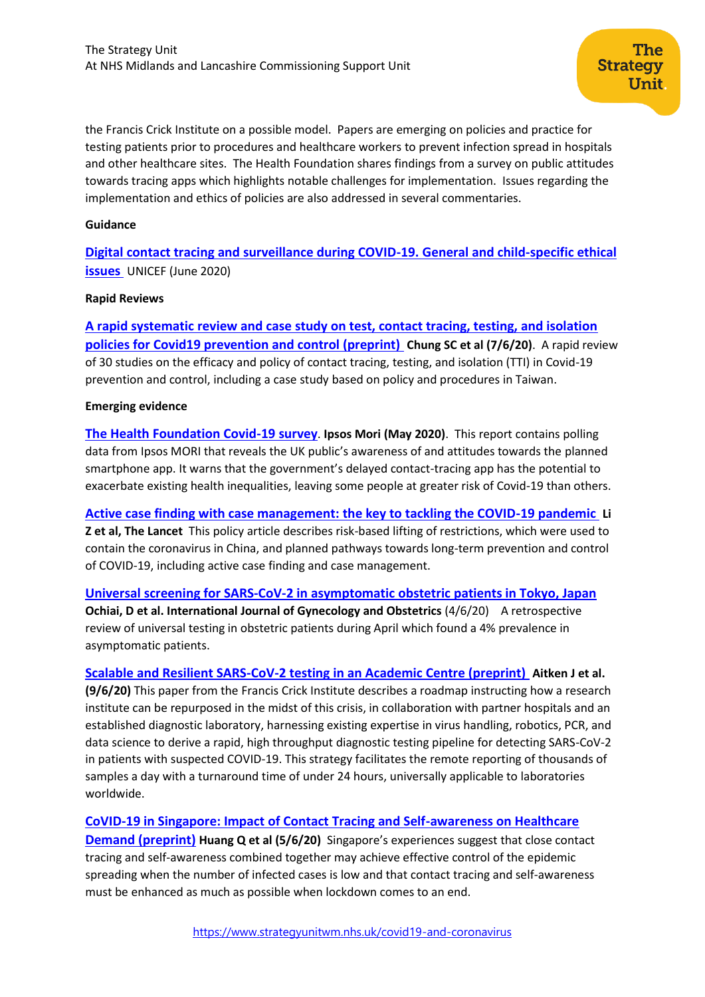the Francis Crick Institute on a possible model. Papers are emerging on policies and practice for testing patients prior to procedures and healthcare workers to prevent infection spread in hospitals and other healthcare sites. The Health Foundation shares findings from a survey on public attitudes towards tracing apps which highlights notable challenges for implementation. Issues regarding the implementation and ethics of policies are also addressed in several commentaries.

#### **Guidance**

**[Digital contact tracing and surveillance during COVID-19. General and child-specific ethical](https://www.unicef-irc.org/publications/1096-digital-contact-tracing-surveillance-covid-19-response-child-specific-issues-iwp.html)  [issues](https://www.unicef-irc.org/publications/1096-digital-contact-tracing-surveillance-covid-19-response-child-specific-issues-iwp.html)** UNICEF (June 2020)

#### **Rapid Reviews**

**[A rapid systematic review and case study on test, contact tracing, testing, and isolation](https://www.medrxiv.org/content/10.1101/2020.06.04.20122614v1.full.pdf)  [policies for Covid19 prevention and control \(preprint\)](https://www.medrxiv.org/content/10.1101/2020.06.04.20122614v1.full.pdf) Chung SC et al (7/6/20)**. A rapid review of 30 studies on the efficacy and policy of contact tracing, testing, and isolation (TTI) in Covid-19 prevention and control, including a case study based on policy and procedures in Taiwan.

#### **Emerging evidence**

**[The Health Foundation Covid-19 survey](https://www.health.org.uk/sites/default/files/2020-06/Health-Foundation-polling-contact-tracing-app-May-2020.pdf)**. **Ipsos Mori (May 2020)**. This report contains polling data from Ipsos MORI that reveals the UK public's awareness of and attitudes towards the planned smartphone app. It warns that the government's delayed contact-tracing app has the potential to exacerbate existing health inequalities, leaving some people at greater risk of Covid-19 than others.

**[Active case finding with case management: the key to tackling the COVID-19 pandemic](https://www.thelancet.com/journals/lancet/article/PIIS0140-6736(20)31278-2/fulltext#seccestitle10) Li Z et al, The Lancet** This policy article describes risk-based lifting of restrictions, which were used to contain the coronavirus in China, and planned pathways towards long-term prevention and control of COVID-19, including active case finding and case management.

**Univer[sal screening for SARS‐CoV‐2 in asymptomatic obstetric patients in Tokyo, Japan](https://obgyn.onlinelibrary.wiley.com/doi/abs/10.1002/ijgo.13252) Ochiai, D et al. International Journal of Gynecology and Obstetrics** (4/6/20) A retrospective review of universal testing in obstetric patients during April which found a 4% prevalence in asymptomatic patients.

**[Scalable and Resilient SARS-CoV-2 testing in an Academic Centre \(preprint\)](https://www.medrxiv.org/content/10.1101/2020.04.19.20071373v3.full.pdf+html) Aitken J et al. (9/6/20)** This paper from the Francis Crick Institute describes a roadmap instructing how a research institute can be repurposed in the midst of this crisis, in collaboration with partner hospitals and an established diagnostic laboratory, harnessing existing expertise in virus handling, robotics, PCR, and data science to derive a rapid, high throughput diagnostic testing pipeline for detecting SARS-CoV-2 in patients with suspected COVID-19. This strategy facilitates the remote reporting of thousands of samples a day with a turnaround time of under 24 hours, universally applicable to laboratories worldwide.

**[CoVID-19 in Singapore: Impact of Contact Tracing and Self-awareness on Healthcare](https://www.medrxiv.org/content/10.1101/2020.06.04.20122879v1.full.pdf+html)** 

**[Demand \(preprint\)](https://www.medrxiv.org/content/10.1101/2020.06.04.20122879v1.full.pdf+html) Huang Q et al (5/6/20)** Singapore's experiences suggest that close contact tracing and self-awareness combined together may achieve effective control of the epidemic spreading when the number of infected cases is low and that contact tracing and self-awareness must be enhanced as much as possible when lockdown comes to an end.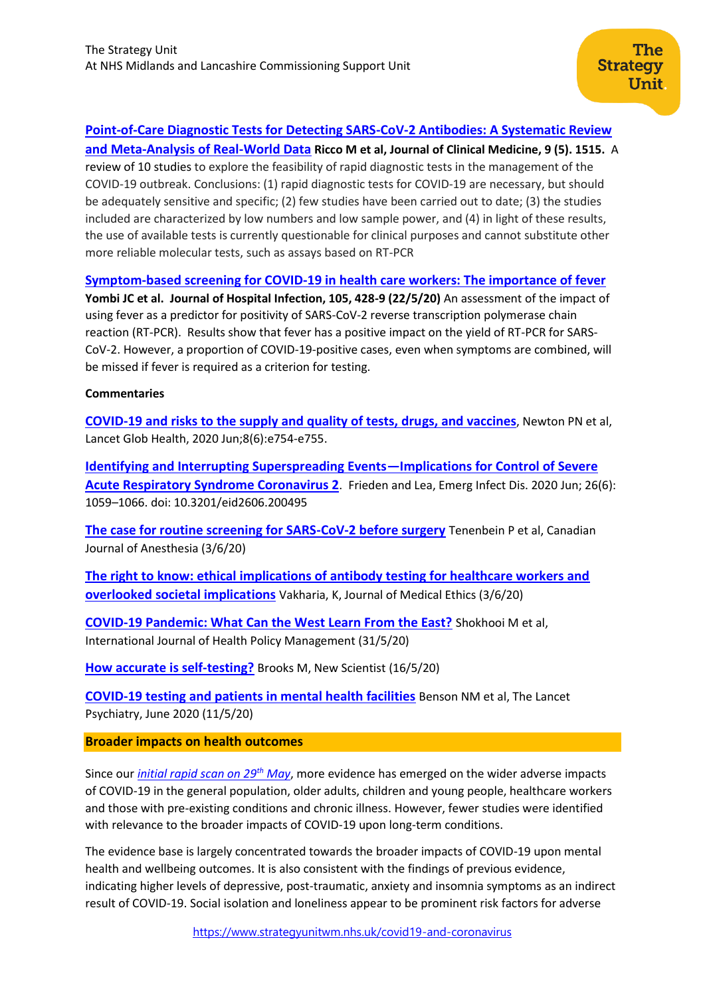## **[Point-of-Care Diagnostic Tests for Detecting SARS-CoV-2 Antibodies: A Systematic Review](https://www.mdpi.com/2077-0383/9/5/1515/htm)**

**[and Meta-Analysis of Real-World Data](https://www.mdpi.com/2077-0383/9/5/1515/htm) Ricco M et al, Journal of Clinical Medicine, 9 (5). 1515.** A review of 10 studies to explore the feasibility of rapid diagnostic tests in the management of the COVID-19 outbreak. Conclusions: (1) rapid diagnostic tests for COVID-19 are necessary, but should be adequately sensitive and specific; (2) few studies have been carried out to date; (3) the studies included are characterized by low numbers and low sample power, and (4) in light of these results, the use of available tests is currently questionable for clinical purposes and cannot substitute other more reliable molecular tests, such as assays based on RT-PCR

## **[Symptom-based screening for COVID-19 in health care workers: The importance of fever](https://www.journalofhospitalinfection.com/article/S0195-6701(20)30259-0/pdf)**

**Yombi JC et al. Journal of Hospital Infection, 105, 428-9 (22/5/20)** An assessment of the impact of using fever as a predictor for positivity of SARS-CoV-2 reverse transcription polymerase chain reaction (RT-PCR). Results show that fever has a positive impact on the yield of RT-PCR for SARS-CoV-2. However, a proportion of COVID-19-positive cases, even when symptoms are combined, will be missed if fever is required as a criterion for testing.

## **Commentaries**

**[COVID-19 and risks to the supply and quality of tests, drugs, and vaccines](https://www.thelancet.com/pdfs/journals/langlo/PIIS2214-109X(20)30136-4.pdf)**, Newton PN et al, Lancet Glob Health, 2020 Jun;8(6):e754-e755.

**[Identifying and Interrupting Superspreading Events](https://www.ncbi.nlm.nih.gov/pmc/articles/PMC7258476/)—Implications for Control of Severe**  [Acute Respiratory Syndrome Coronavirus 2](https://www.ncbi.nlm.nih.gov/pmc/articles/PMC7258476/). Frieden and Lea, Emerg Infect Dis. 2020 Jun; 26(6): 1059–1066. doi: 10.3201/eid2606.200495

**[The case for routine screening for SARS-CoV-2 before surgery](https://link.springer.com/article/10.1007%2Fs12630-020-01730-4)** Tenenbein P et al, Canadian Journal of Anesthesia (3/6/20)

**[The right to know: ethical implications of antibody testing for healthcare workers and](https://jme.bmj.com/content/early/2020/06/03/medethics-2020-106467)  [overlooked societal implications](https://jme.bmj.com/content/early/2020/06/03/medethics-2020-106467)** Vakharia, K, Journal of Medical Ethics (3/6/20)

**[COVID-19 Pandemic: What Can the West Learn From the East?](https://www.ijhpm.com/article_3819_a191c9bf2946dfef45f8e8ada6f9539d.pdf)** Shokhooi M et al, International Journal of Health Policy Management (31/5/20)

**[How accurate is self-testing?](https://www.sciencedirect.com/science/article/pii/S026240792030909X?via%3Dihub)** Brooks M, New Scientist (16/5/20)

**[COVID-19 testing and patients in mental health facilities](https://www.thelancet.com/journals/lanpsy/article/PIIS2215-0366(20)30198-X/fulltext)** Benson NM et al, The Lancet Psychiatry, June 2020 (11/5/20)

## <span id="page-8-0"></span>**Broader impacts on health outcomes**

Since our *[initial rapid scan on 29](https://www.strategyunitwm.nhs.uk/sites/default/files/2020-05/20200529%20Evidence%20rapid%20scan%206%20-%20Implications%20of%20the%20broader%20impacts%20of%20Covid19%20for%20healthcare.pdf)th May*, more evidence has emerged on the wider adverse impacts of COVID-19 in the general population, older adults, children and young people, healthcare workers and those with pre-existing conditions and chronic illness. However, fewer studies were identified with relevance to the broader impacts of COVID-19 upon long-term conditions.

The evidence base is largely concentrated towards the broader impacts of COVID-19 upon mental health and wellbeing outcomes. It is also consistent with the findings of previous evidence, indicating higher levels of depressive, post-traumatic, anxiety and insomnia symptoms as an indirect result of COVID-19. Social isolation and loneliness appear to be prominent risk factors for adverse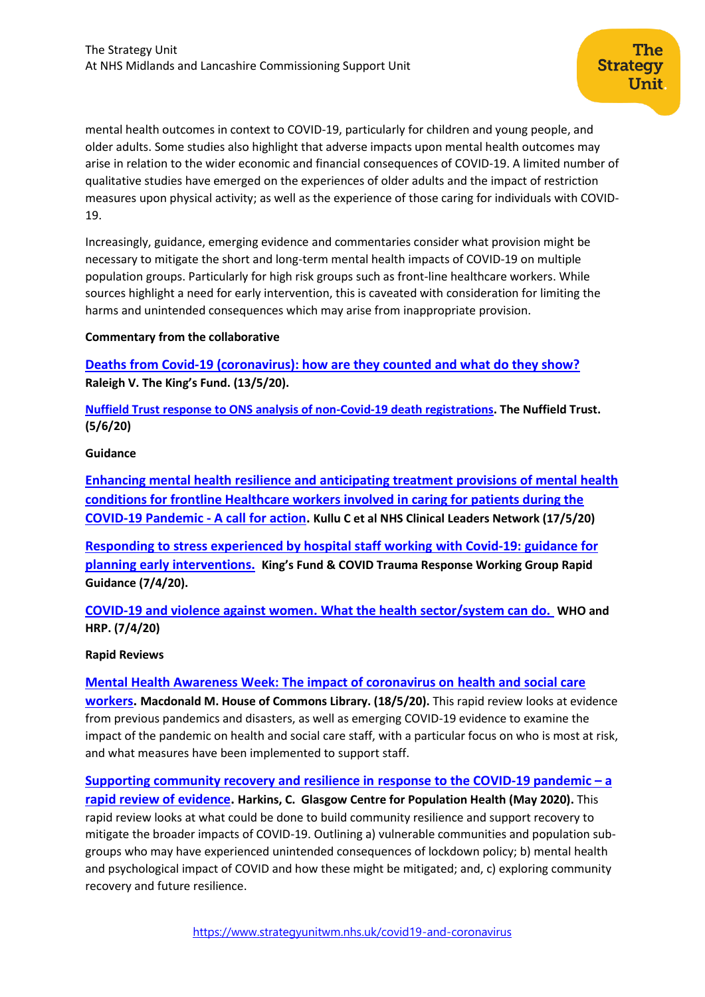mental health outcomes in context to COVID-19, particularly for children and young people, and older adults. Some studies also highlight that adverse impacts upon mental health outcomes may arise in relation to the wider economic and financial consequences of COVID-19. A limited number of qualitative studies have emerged on the experiences of older adults and the impact of restriction measures upon physical activity; as well as the experience of those caring for individuals with COVID-19.

Increasingly, guidance, emerging evidence and commentaries consider what provision might be necessary to mitigate the short and long-term mental health impacts of COVID-19 on multiple population groups. Particularly for high risk groups such as front-line healthcare workers. While sources highlight a need for early intervention, this is caveated with consideration for limiting the harms and unintended consequences which may arise from inappropriate provision.

## **Commentary from the collaborative**

**[Deaths from Covid-19 \(coronavirus\): how are they counted and what do they show?](https://www.kingsfund.org.uk/publications/deaths-covid-19) Raleigh V. The King's Fund. (13/5/20).**

**Nuffield Trust [response to ONS analysis of non-Covid-19 death registrations.](https://www.nuffieldtrust.org.uk/news-item/nuffield-trust-response-to-ons-analysis-of-non-covid-19-death-registrations) The Nuffield Trust. (5/6/20)**

#### **Guidance**

**[Enhancing mental health resilience and anticipating treatment provisions of mental health](https://amber.openrepository.com/bitstream/handle/20.500.12417/807/Clinical%20Leaders%20Network%20-%20Kullu%20et%20al%2c%202020.pdf?sequence=1&isAllowed=y)  [conditions for frontline Healthcare workers involved in caring for patients during the](https://amber.openrepository.com/bitstream/handle/20.500.12417/807/Clinical%20Leaders%20Network%20-%20Kullu%20et%20al%2c%202020.pdf?sequence=1&isAllowed=y)  [COVID-19 Pandemic -](https://amber.openrepository.com/bitstream/handle/20.500.12417/807/Clinical%20Leaders%20Network%20-%20Kullu%20et%20al%2c%202020.pdf?sequence=1&isAllowed=y) A call for action. Kullu C et al NHS Clinical Leaders Network (17/5/20)**

**[Responding to stress experienced by hospital staff working](https://232fe0d6-f8f4-43eb-bc5d-6aa50ee47dc5.filesusr.com/ugd/6b474f_a90ac0ff6514479e84789019dfa65ef9.pdf) with Covid-19: guidance for [planning early interventions.](https://232fe0d6-f8f4-43eb-bc5d-6aa50ee47dc5.filesusr.com/ugd/6b474f_a90ac0ff6514479e84789019dfa65ef9.pdf) King's Fund & COVID Trauma Response Working Group Rapid Guidance (7/4/20).** 

**[COVID-19 and violence against women. What the health sector/system can do.](http://www.euro.who.int/en/health-topics/disease-prevention/violence-and-injuries/news/news/2020/6/the-rise-and-rise-of-interpersonal-violence-an-unintended-impact-of-the-covid-19-response-on-families) WHO and HRP. (7/4/20)**

#### **Rapid Reviews**

**[Mental Health Awareness Week: The impact of coronavirus on](https://commonslibrary.parliament.uk/insights/mental-health-awareness-week-the-impact-of-coronavirus-on-health-and-social-care-workers/?doing_wp_cron=1591186423.4014780521392822265625) health and social care** 

**[workers.](https://commonslibrary.parliament.uk/insights/mental-health-awareness-week-the-impact-of-coronavirus-on-health-and-social-care-workers/?doing_wp_cron=1591186423.4014780521392822265625) Macdonald M. House of Commons Library. (18/5/20).** This rapid review looks at evidence from previous pandemics and disasters, as well as emerging COVID-19 evidence to examine the impact of the pandemic on health and social care staff, with a particular focus on who is most at risk, and what measures have been implemented to support staff.

**[Supporting community recovery and resilience in](https://www.gcph.co.uk/assets/0000/7854/COVID19_Comm_Recovery_FINAL.pdf) response to the COVID-19 pandemic – a [rapid review of evidence.](https://www.gcph.co.uk/assets/0000/7854/COVID19_Comm_Recovery_FINAL.pdf) Harkins, C. Glasgow Centre for Population Health (May 2020).** This rapid review looks at what could be done to build community resilience and support recovery to mitigate the broader impacts of COVID-19. Outlining a) vulnerable communities and population subgroups who may have experienced unintended consequences of lockdown policy; b) mental health and psychological impact of COVID and how these might be mitigated; and, c) exploring community recovery and future resilience.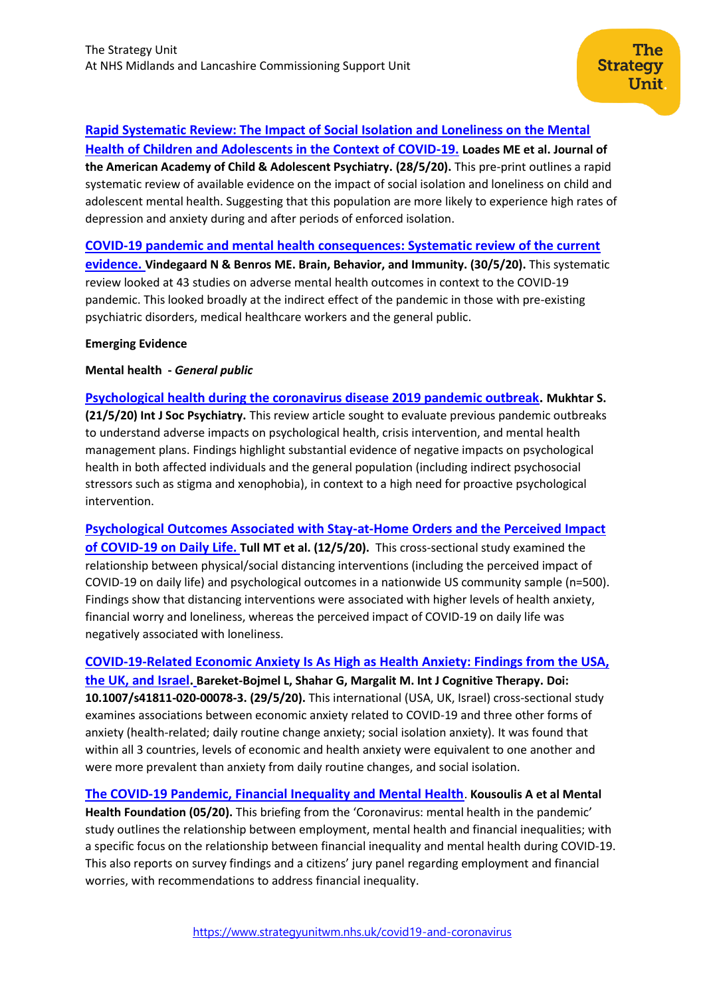## **[Rapid Systematic Review: The Impact of Social Isolation and Loneliness on the Mental](https://jaacap.org/article/S0890-8567(20)30337-3/pdf)**

**[Health of Children and Adolescents in the Context of COVID-19.](https://jaacap.org/article/S0890-8567(20)30337-3/pdf) Loades ME et al. Journal of the American Academy of Child & Adolescent Psychiatry. (28/5/20).** This pre-print outlines a rapid systematic review of available evidence on the impact of social isolation and loneliness on child and adolescent mental health. Suggesting that this population are more likely to experience high rates of depression and anxiety during and after periods of enforced isolation.

**[COVID-19 pandemic and mental health consequences: Systematic review of the current](https://www.sciencedirect.com/science/article/pii/S0889159120309545?via%3Dihub)** 

**[evidence.](https://www.sciencedirect.com/science/article/pii/S0889159120309545?via%3Dihub) Vindegaard N & Benros ME. Brain, Behavior, and Immunity. (30/5/20).** This systematic review looked at 43 studies on adverse mental health outcomes in context to the COVID-19 pandemic. This looked broadly at the indirect effect of the pandemic in those with pre-existing psychiatric disorders, medical healthcare workers and the general public.

## **Emerging Evidence**

**Mental health -** *General public*

**[Psychological health during the coronavirus disease 2019 pandemic outbreak.](https://journals.sagepub.com/doi/full/10.1177/0020764020925835) Mukhtar S. (21/5/20) Int J Soc Psychiatry.** This review article sought to evaluate previous pandemic outbreaks to understand adverse impacts on psychological health, crisis intervention, and mental health management plans. Findings highlight substantial evidence of negative impacts on psychological health in both affected individuals and the general population (including indirect psychosocial stressors such as stigma and xenophobia), in context to a high need for proactive psychological intervention.

**[Psychological Outcomes Associated with Stay-at-Home Orders and the Perceived Impact](https://www.sciencedirect.com/science/article/pii/S0165178120310854?via%3Dihub)  [of COVID-19 on Daily Life.](https://www.sciencedirect.com/science/article/pii/S0165178120310854?via%3Dihub) Tull MT et al. (12/5/20).** This cross-sectional study examined the relationship between physical/social distancing interventions (including the perceived impact of COVID-19 on daily life) and psychological outcomes in a nationwide US community sample (n=500). Findings show that distancing interventions were associated with higher levels of health anxiety, financial worry and loneliness, whereas the perceived impact of COVID-19 on daily life was negatively associated with loneliness.

**[COVID-19-Related Economic Anxiety Is As High as Health Anxiety: Findings from the USA,](https://link.springer.com/content/pdf/10.1007/s41811-020-00078-3.pdf)  [the UK, and Israel.](https://link.springer.com/content/pdf/10.1007/s41811-020-00078-3.pdf) Bareket-Bojmel L, Shahar G, Margalit M. Int J Cognitive Therapy. Doi: 10.1007/s41811-020-00078-3. (29/5/20).** This international (USA, UK, Israel) cross-sectional study examines associations between economic anxiety related to COVID-19 and three other forms of anxiety (health-related; daily routine change anxiety; social isolation anxiety). It was found that within all 3 countries, levels of economic and health anxiety were equivalent to one another and were more prevalent than anxiety from daily routine changes, and social isolation.

**[The COVID-19 Pandemic, Financial Inequality and Mental Health](https://www.mentalhealth.org.uk/sites/default/files/MHF-covid-19-inequality-mental-health-briefing.pdf?utm_source=The%20King%27s%20Fund%20newsletters%20%28main%20account%29&utm_medium=email&utm_campaign=11559284_NEWSL_HMP%202020-05-26&dm_i=21A8,6VR78,FLX5Q6,RNEBF,1)**. **Kousoulis A et al Mental Health Foundation (05/20).** This briefing from the 'Coronavirus: mental health in the pandemic' study outlines the relationship between employment, mental health and financial inequalities; with a specific focus on the relationship between financial inequality and mental health during COVID-19. This also reports on survey findings and a citizens' jury panel regarding employment and financial worries, with recommendations to address financial inequality.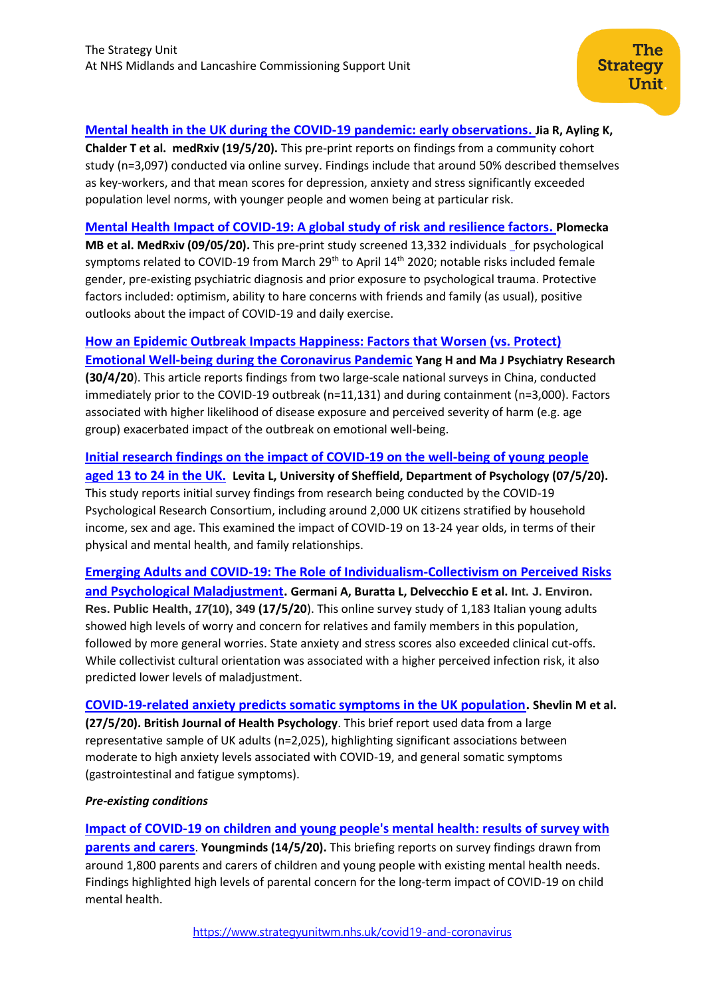The **Strategy** 

**Unit** 

**Chalder T et al. medRxiv (19/5/20).** This pre-print reports on findings from a community cohort study (n=3,097) conducted via online survey. Findings include that around 50% described themselves as key-workers, and that mean scores for depression, anxiety and stress significantly exceeded population level norms, with younger people and women being at particular risk.

**[Mental Health Impact of COVID-19: A global study of risk and resilience factors.](https://www.medrxiv.org/content/10.1101/2020.05.05.20092023v1.full.pdf) Plomecka MB et al. MedRxiv (09/05/20).** [This pre-print study screened 13,332 individuals f](https://www.medrxiv.org/content/10.1101/2020.05.05.20092023v1.full.pdf)or psychological symptoms related to COVID-19 from March  $29<sup>th</sup>$  to April  $14<sup>th</sup>$  2020; notable risks included female gender, pre-existing psychiatric diagnosis and prior exposure to psychological trauma. Protective factors included: optimism, ability to hare concerns with friends and family (as usual), positive outlooks about the impact of COVID-19 and daily exercise.

## **[How an Epidemic Outbreak Impacts Happiness: Factors that Worsen \(vs. Protect\)](https://www.sciencedirect.com/science/article/pii/S0165178120309902?via%3Dihub=)**

**[Emotional Well-being during the Coronavirus Pandemic](https://www.sciencedirect.com/science/article/pii/S0165178120309902?via%3Dihub=) Yang H and Ma J Psychiatry Research (30/4/20**). This article reports findings from two large-scale national surveys in China, conducted immediately prior to the COVID-19 outbreak (n=11,131) and during containment (n=3,000). Factors associated with higher likelihood of disease exposure and perceived severity of harm (e.g. age group) exacerbated impact of the outbreak on emotional well-being.

## **[Initial research findings on the impact of COVID-19 on the well-being of young people](https://drive.google.com/file/d/1AOc0wCPqv2gfFSQ_DVmw12vrqQK01z0V/view)**

**[aged 13 to 24 in the UK.](https://drive.google.com/file/d/1AOc0wCPqv2gfFSQ_DVmw12vrqQK01z0V/view) Levita L, University of Sheffield, Department of Psychology (07/5/20).** This study reports initial survey findings from research being conducted by the COVID-19 Psychological Research Consortium, including around 2,000 UK citizens stratified by household income, sex and age. This examined the impact of COVID-19 on 13-24 year olds, in terms of their physical and mental health, and family relationships.

**[Emerging Adults and COVID-19: The Role of Individualism-Collectivism on Perceived Risks](https://www.mdpi.com/1660-4601/17/10/3497)  [and Psychological Maladjustment.](https://www.mdpi.com/1660-4601/17/10/3497) Germani A, Buratta L, Delvecchio E et al. Int. J. Environ. Res. Public Health,** *17***(10), 349 (17/5/20**). This online survey study of 1,183 Italian young adults showed high levels of worry and concern for relatives and family members in this population, followed by more general worries. State anxiety and stress scores also exceeded clinical cut-offs. While collectivist cultural orientation was associated with a higher perceived infection risk, it also predicted lower levels of maladjustment.

**[COVID‐19‐related anxiety predicts somatic symptoms in the UK population](https://onlinelibrary.wiley.com/doi/full/10.1111/bjhp.12430). Shevlin M et al. (27/5/20). British Journal of Health Psychology**. This brief report used data from a large representative sample of UK adults (n=2,025), highlighting significant associations between moderate to high anxiety levels associated with COVID-19, and general somatic symptoms (gastrointestinal and fatigue symptoms).

## *Pre-existing conditions*

**[Impact of COVID-19 on children and young people's mental health: results of survey with](https://youngminds.org.uk/media/3774/youngminds-survey-with-parents-and-carers-summary-of-results.pdf)  [parents and carers](https://youngminds.org.uk/media/3774/youngminds-survey-with-parents-and-carers-summary-of-results.pdf)**. **Youngminds (14/5/20).** This briefing reports on survey findings drawn from around 1,800 parents and carers of children and young people with existing mental health needs. Findings highlighted high levels of parental concern for the long-term impact of COVID-19 on child mental health.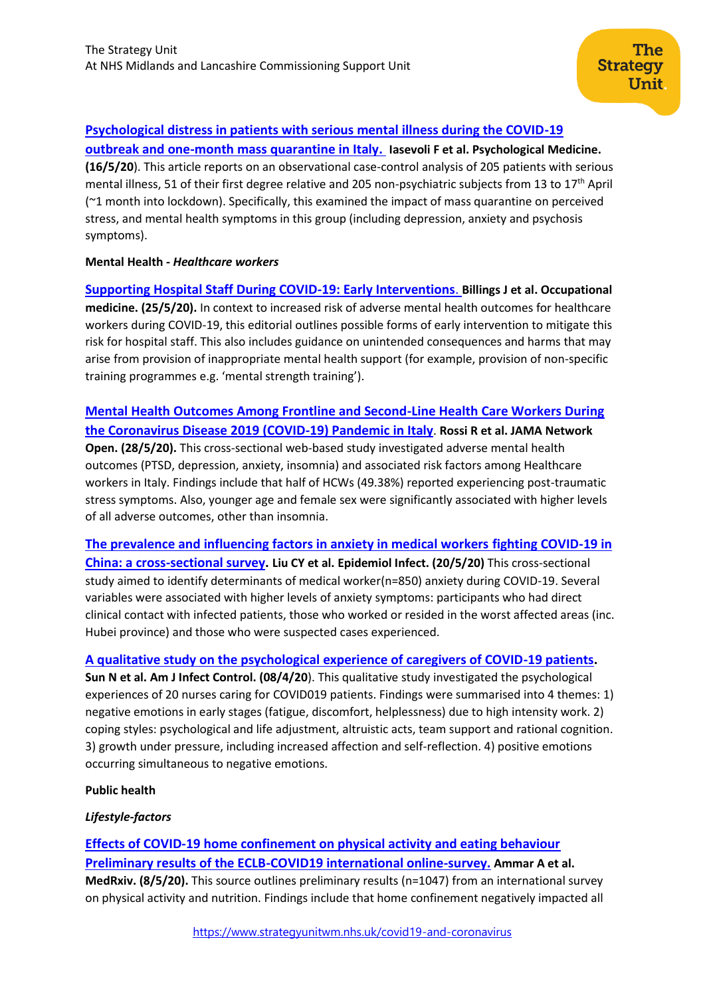# **[Psychological distress in patients with serious mental illness during the COVID-19](https://www.cambridge.org/core/journals/psychological-medicine/article/psychological-distress-in-patients-with-serious-mental-illness-during-the-covid19-outbreak-and-onemonth-mass-quarantine-in-italy/2EAFCD33BCBCEF07176BBB7171AEA478)**

**[outbreak and one-month mass quarantine in Italy.](https://www.cambridge.org/core/journals/psychological-medicine/article/psychological-distress-in-patients-with-serious-mental-illness-during-the-covid19-outbreak-and-onemonth-mass-quarantine-in-italy/2EAFCD33BCBCEF07176BBB7171AEA478) Iasevoli F et al. Psychological Medicine. (16/5/20**). This article reports on an observational case-control analysis of 205 patients with serious mental illness, 51 of their first degree relative and 205 non-psychiatric subjects from 13 to 17th April (~1 month into lockdown). Specifically, this examined the impact of mass quarantine on perceived stress, and mental health symptoms in this group (including depression, anxiety and psychosis symptoms).

## **Mental Health -** *Healthcare workers*

**[Supporting Hospital Staff During COVID-19: Early Interventions](https://academic.oup.com/occmed/advance-article/doi/10.1093/occmed/kqaa098/5843740)**. **Billings J et al. Occupational medicine. (25/5/20).** In context to increased risk of adverse mental health outcomes for healthcare workers during COVID-19, this editorial outlines possible forms of early intervention to mitigate this risk for hospital staff. This also includes guidance on unintended consequences and harms that may arise from provision of inappropriate mental health support (for example, provision of non-specific training programmes e.g. 'mental strength training').

**Mental [Health Outcomes Among Frontline and Second-Line Health Care Workers During](https://www.ncbi.nlm.nih.gov/pmc/articles/PMC7256664/)  [the Coronavirus Disease 2019 \(COVID-19\) Pandemic in Italy](https://www.ncbi.nlm.nih.gov/pmc/articles/PMC7256664/)**. **Rossi R et al. JAMA Network Open. (28/5/20).** This cross-sectional web-based study investigated adverse mental health outcomes (PTSD, depression, anxiety, insomnia) and associated risk factors among Healthcare workers in Italy. Findings include that half of HCWs (49.38%) reported experiencing post-traumatic stress symptoms. Also, younger age and female sex were significantly associated with higher levels of all adverse outcomes, other than insomnia.

**[The prevalence and influencing factors in anxiety in medical workers fighting COVID-19 in](https://www.ncbi.nlm.nih.gov/pmc/articles/PMC7251286/)  [China: a cross-sectional survey.](https://www.ncbi.nlm.nih.gov/pmc/articles/PMC7251286/) Liu CY et al. Epidemiol Infect. (20/5/20)** This cross-sectional study aimed to identify determinants of medical worker(n=850) anxiety during COVID-19. Several variables were associated with higher levels of anxiety symptoms: participants who had direct clinical contact with infected patients, those who worked or resided in the worst affected areas (inc. Hubei province) and those who were suspected cases experienced.

## **[A qualitative study on the psychological experience of caregivers of COVID-19 patients.](https://www.ncbi.nlm.nih.gov/pmc/articles/PMC7141468/)**

**Sun N et al. Am J Infect Control. (08/4/20**). This qualitative study investigated the psychological experiences of 20 nurses caring for COVID019 patients. Findings were summarised into 4 themes: 1) negative emotions in early stages (fatigue, discomfort, helplessness) due to high intensity work. 2) coping styles: psychological and life adjustment, altruistic acts, team support and rational cognition. 3) growth under pressure, including increased affection and self-reflection. 4) positive emotions occurring simultaneous to negative emotions.

## **Public health**

## *Lifestyle-factors*

**[Effects of COVID-19 home confinement on physical activity and eating behaviour](https://www.medrxiv.org/content/10.1101/2020.05.04.20072447v1.full.pdf)  [Preliminary results of the ECLB-COVID19 international online-survey.](https://www.medrxiv.org/content/10.1101/2020.05.04.20072447v1.full.pdf) Ammar A et al. MedRxiv. (8/5/20).** This source outlines preliminary results (n=1047) from an international survey on physical activity and nutrition. Findings include that home confinement negatively impacted all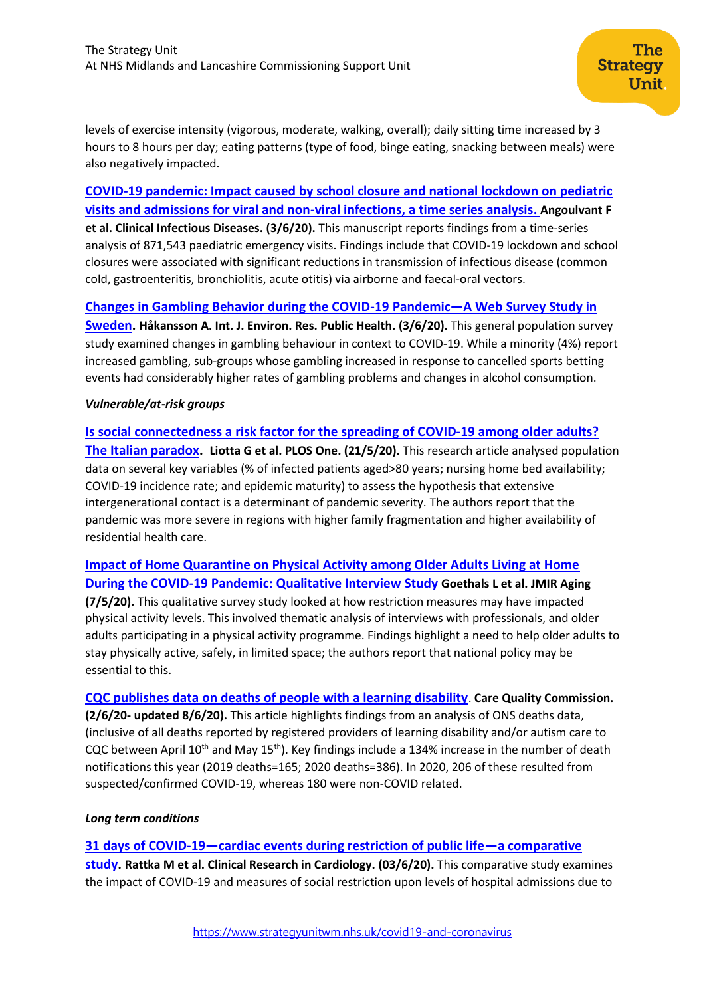levels of exercise intensity (vigorous, moderate, walking, overall); daily sitting time increased by 3 hours to 8 hours per day; eating patterns (type of food, binge eating, snacking between meals) were also negatively impacted.

# **[COVID-19 pandemic: Impact caused by school closure and national lockdown on pediatric](https://academic.oup.com/cid/advance-article/doi/10.1093/cid/ciaa710/5850910)  [visits and admissions for viral and non-viral infections, a time series analysis.](https://academic.oup.com/cid/advance-article/doi/10.1093/cid/ciaa710/5850910) Angoulvant F et al. Clinical Infectious Diseases. (3/6/20).** This manuscript reports findings from a time-series analysis of 871,543 paediatric emergency visits. Findings include that COVID-19 lockdown and school closures were associated with significant reductions in transmission of infectious disease (common cold, gastroenteritis, bronchiolitis, acute otitis) via airborne and faecal-oral vectors.

**[Changes in Gambling Behavior during the COVID-19 Pandemic](https://www.mdpi.com/1660-4601/17/11/4013)—A Web Survey Study in** 

**[Sweden.](https://www.mdpi.com/1660-4601/17/11/4013) Håkansson A. Int. J. Environ. Res. Public Health. (3/6/20).** This general population survey study examined changes in gambling behaviour in context to COVID-19. While a minority (4%) report increased gambling, sub-groups whose gambling increased in response to cancelled sports betting events had considerably higher rates of gambling problems and changes in alcohol consumption.

## *Vulnerable/at-risk groups*

**[Is social connectedness a risk factor for the spreading of COVID-19 among older adults?](https://www.ncbi.nlm.nih.gov/pmc/articles/PMC7241742/)  [The Italian paradox.](https://www.ncbi.nlm.nih.gov/pmc/articles/PMC7241742/) Liotta G et al. PLOS One. (21/5/20).** This research article analysed population data on several key variables (% of infected patients aged>80 years; nursing home bed availability; COVID-19 incidence rate; and epidemic maturity) to assess the hypothesis that extensive intergenerational contact is a determinant of pandemic severity. The authors report that the pandemic was more severe in regions with higher family fragmentation and higher availability of residential health care.

**[Impact of Home Quarantine on Physical Activity among Older Adults Living at Home](https://pubmed.ncbi.nlm.nih.gov/32356777/)  [During the COVID-19 Pandemic: Qualitative Interview Study](https://pubmed.ncbi.nlm.nih.gov/32356777/) Goethals L et al. JMIR Aging (7/5/20).** This qualitative survey study looked at how restriction measures may have impacted physical activity levels. This involved thematic analysis of interviews with professionals, and older adults participating in a physical activity programme. Findings highlight a need to help older adults to stay physically active, safely, in limited space; the authors report that national policy may be essential to this.

**[CQC publishes data on deaths of people with a learning disability](https://www.cqc.org.uk/news/stories/cqc-publishes-data-deaths-people-learning-disability)**. **Care Quality Commission. (2/6/20- updated 8/6/20).** This article highlights findings from an analysis of ONS deaths data, (inclusive of all deaths reported by registered providers of learning disability and/or autism care to CQC between April 10<sup>th</sup> and May 15<sup>th</sup>). Key findings include a 134% increase in the number of death notifications this year (2019 deaths=165; 2020 deaths=386). In 2020, 206 of these resulted from suspected/confirmed COVID-19, whereas 180 were non-COVID related.

## *Long term conditions*

**31 days of COVID-19—[cardiac events during restriction of public life](https://link.springer.com/article/10.1007/s00392-020-01681-2)—a comparative** 

**[study.](https://link.springer.com/article/10.1007/s00392-020-01681-2) Rattka M et al. Clinical Research in Cardiology. (03/6/20).** This comparative study examines the impact of COVID-19 and measures of social restriction upon levels of hospital admissions due to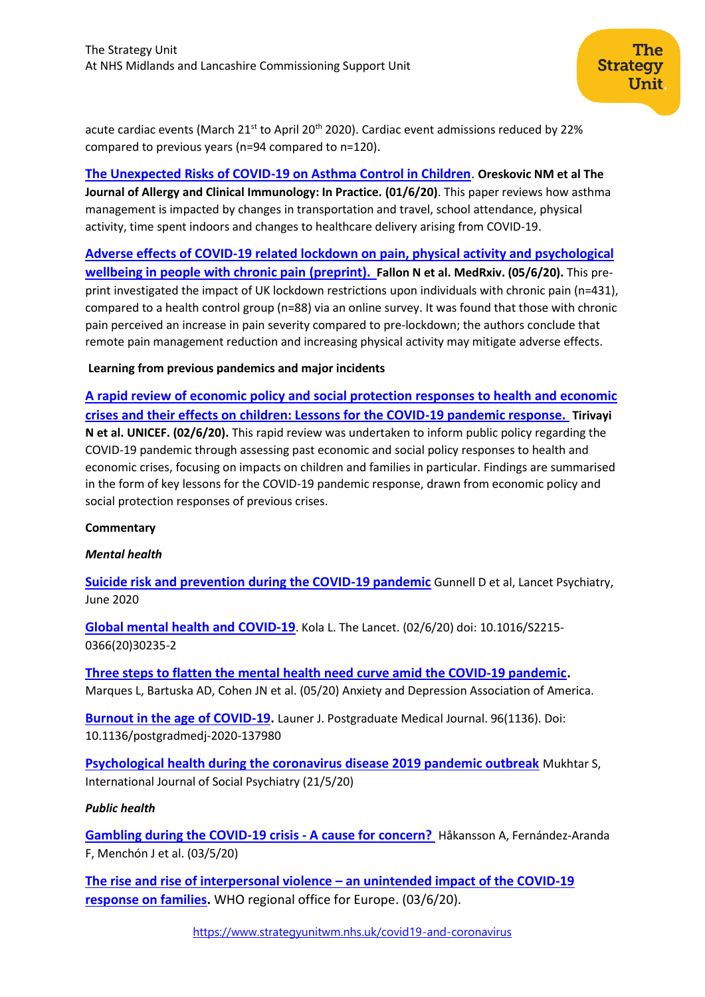acute cardiac events (March 21<sup>st</sup> to April 20<sup>th</sup> 2020). Cardiac event admissions reduced by 22% compared to previous years (n=94 compared to n=120).

**[The Unexpected Risks of COVID-19 on Asthma Control in Children](https://www.sciencedirect.com/science/article/pii/S2213219820305237?via%3Dihub)**. **Oreskovic NM et al The Journal of Allergy and Clinical Immunology: In Practice. (01/6/20)**. This paper reviews how asthma management is impacted by changes in transportation and travel, school attendance, physical activity, time spent indoors and changes to healthcare delivery arising from COVID-19.

**[Adverse effects of COVID-19 related lockdown on pain, physical activity and psychological](https://www.medrxiv.org/content/10.1101/2020.06.04.20122564v1)  [wellbeing in people with chronic pain](https://www.medrxiv.org/content/10.1101/2020.06.04.20122564v1) (preprint). Fallon N et al. MedRxiv. (05/6/20).** This preprint investigated the impact of UK lockdown restrictions upon individuals with chronic pain (n=431), compared to a health control group (n=88) via an online survey. It was found that those with chronic pain perceived an increase in pain severity compared to pre-lockdown; the authors conclude that remote pain management reduction and increasing physical activity may mitigate adverse effects.

## **Learning from previous pandemics and major incidents**

**A rapid review [of economic](https://www.unicef-irc.org/publications/1095-rapid-review-economic-policy-social-protection-responses-to-health-and-economic-crises.html) policy and social protection responses to health and economic crises [and their effects on children: Lessons for the COVID-19 pandemic response.](https://www.unicef-irc.org/publications/1095-rapid-review-economic-policy-social-protection-responses-to-health-and-economic-crises.html) Tirivayi N et al. UNICEF. (02/6/20).** This rapid review was undertaken to inform public policy regarding the COVID-19 pandemic through assessing past economic and social policy responses to health and economic crises, focusing on impacts on children and families in particular. Findings are summarised in the form of key lessons for the COVID-19 pandemic response, drawn from economic policy and social protection responses of previous crises.

## **Commentary**

## *Mental health*

**[Suicide risk and prevention during the COVID-19 pandemic](https://www.thelancet.com/journals/lanpsy/article/PIIS2215-0366(20)30171-1/fulltext)** Gunnell D et al, Lancet Psychiatry, June 2020

**[Global mental health and COVID-19](https://www.thelancet.com/journals/lanpsy/article/PIIS2215-0366(20)30235-2/fulltext)**. Kola L. The Lancet. (02/6/20) doi: 10.1016/S2215- 0366(20)30235-2

**[Three steps to flatten the mental health need curve amid the COVID‐19 pandemic](https://www.ncbi.nlm.nih.gov/pmc/articles/PMC7272919/).**  Marques L, Bartuska AD, Cohen JN et al. (05/20) Anxiety and Depression Association of America.

**[Burnout in the age of COVID-19.](https://pmj.bmj.com/content/96/1136/367.long)** Launer J. Postgraduate Medical Journal. 96(1136). Doi: 10.1136/postgradmedj-2020-137980

**[Psychological health during the coronavirus disease 2019 pandemic outbreak](https://journals.sagepub.com/doi/full/10.1177/0020764020925835)** Mukhtar S, International Journal of Social Psychiatry (21/5/20)

## *Public health*

**[Gambling during the COVID-19 crisis -](https://journals.lww.com/journaladdictionmedicine/Abstract/9000/Gambling_during_the_COVID_19_crisis___A_cause_for.99230.aspx) A cause for concern?** Håkansson A, Fernández-Aranda F, Menchón J et al. (03/5/20)

**[The rise and rise of interpersonal violence](http://www.euro.who.int/en/health-topics/disease-prevention/violence-and-injuries/news/news/2020/6/the-rise-and-rise-of-interpersonal-violence-an-unintended-impact-of-the-covid-19-response-on-families) – an unintended impact of the COVID-19 [response on families.](http://www.euro.who.int/en/health-topics/disease-prevention/violence-and-injuries/news/news/2020/6/the-rise-and-rise-of-interpersonal-violence-an-unintended-impact-of-the-covid-19-response-on-families)** WHO regional office for Europe. (03/6/20).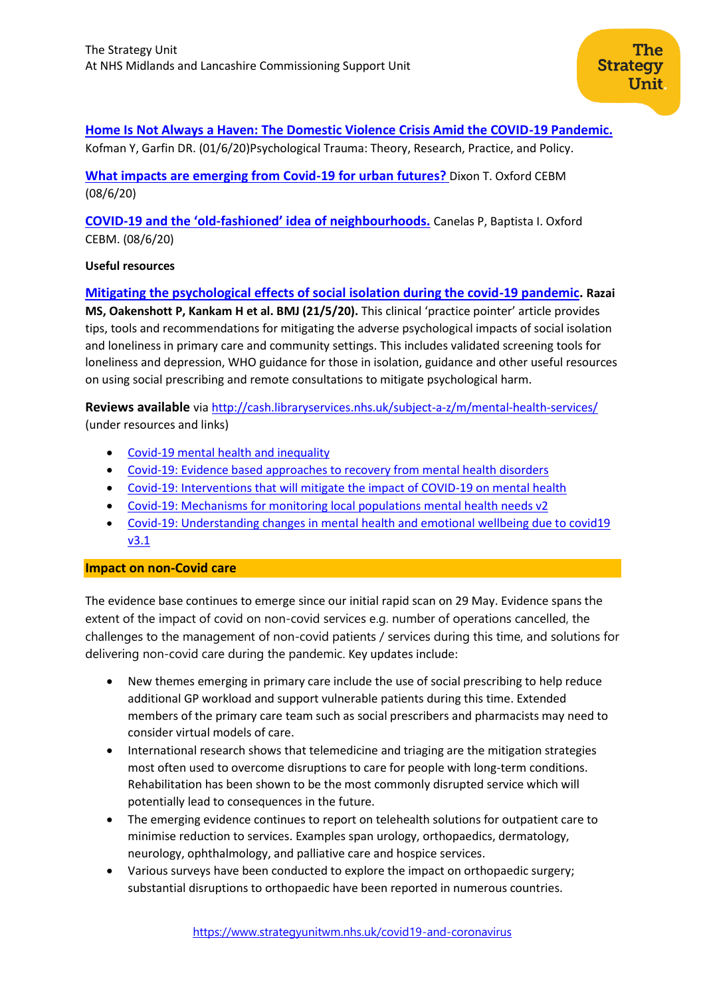## **[Home Is Not Always a Haven: The Domestic Violence Crisis Amid the COVID-19 Pandemic.](https://doi.apa.org/fulltext/2020-37317-001.html)**

Kofman Y, Garfin DR. (01/6/20)Psychological Trauma: Theory, Research, Practice, and Policy.

**[What impacts are emerging from Covid-19 for urban futures?](https://www.cebm.net/covid-19/what-impacts-are-emerging-from-covid-19-for-urban-futures/)** Dixon T. Oxford CEBM (08/6/20)

**COVID-19 and the 'old-fashioned' idea of [neighbourhoods.](https://www.cebm.net/covid-19/covid-19-and-the-old-fashioned-idea-of-neighbourhoods/)** Canelas P, Baptista I. Oxford CEBM. (08/6/20)

## **Useful resources**

## **[Mitigating the psychological effects of social isolation during the covid-19 pandemic.](https://www.bmj.com/content/369/bmj.m1904.long) Razai**

**MS, Oakenshott P, Kankam H et al. BMJ (21/5/20).** This clinical 'practice pointer' article provides tips, tools and recommendations for mitigating the adverse psychological impacts of social isolation and loneliness in primary care and community settings. This includes validated screening tools for loneliness and depression, WHO guidance for those in isolation, guidance and other useful resources on using social prescribing and remote consultations to mitigate psychological harm.

**Reviews available** vi[a http://cash.libraryservices.nhs.uk/subject-a-z/m/mental-health-services/](http://cash.libraryservices.nhs.uk/subject-a-z/m/mental-health-services/) (under resources and links)

- [Covid-19 mental health and inequality](http://cash.libraryservices.nhs.uk/easysiteweb/getresource.axd?assetid=71552&type=0&servicetype=1)
- [Covid-19: Evidence based approaches to recovery from mental health disorders](http://cash.libraryservices.nhs.uk/easysiteweb/getresource.axd?assetid=71554&type=0&servicetype=1)
- [Covid-19: Interventions that will mitigate the impact of COVID-19 on mental health](http://cash.libraryservices.nhs.uk/easysiteweb/getresource.axd?assetid=71230&type=0&servicetype=1)
- [Covid-19: Mechanisms for monitoring local populations mental health needs v2](http://cash.libraryservices.nhs.uk/easysiteweb/getresource.axd?assetid=71553&type=0&servicetype=1)
- [Covid-19: Understanding changes in mental health and emotional wellbeing due to covid19](http://cash.libraryservices.nhs.uk/easysiteweb/getresource.axd?assetid=71229&type=0&servicetype=1)  [v3.1](http://cash.libraryservices.nhs.uk/easysiteweb/getresource.axd?assetid=71229&type=0&servicetype=1)

## **Impact on non-Covid care**

The evidence base continues to emerge since our initial rapid scan on 29 May. Evidence spans the extent of the impact of covid on non-covid services e.g. number of operations cancelled, the challenges to the management of non-covid patients / services during this time, and solutions for delivering non-covid care during the pandemic. Key updates include:

- New themes emerging in primary care include the use of social prescribing to help reduce additional GP workload and support vulnerable patients during this time. Extended members of the primary care team such as social prescribers and pharmacists may need to consider virtual models of care.
- International research shows that telemedicine and triaging are the mitigation strategies most often used to overcome disruptions to care for people with long-term conditions. Rehabilitation has been shown to be the most commonly disrupted service which will potentially lead to consequences in the future.
- The emerging evidence continues to report on telehealth solutions for outpatient care to minimise reduction to services. Examples span urology, orthopaedics, dermatology, neurology, ophthalmology, and palliative care and hospice services.
- Various surveys have been conducted to explore the impact on orthopaedic surgery; substantial disruptions to orthopaedic have been reported in numerous countries.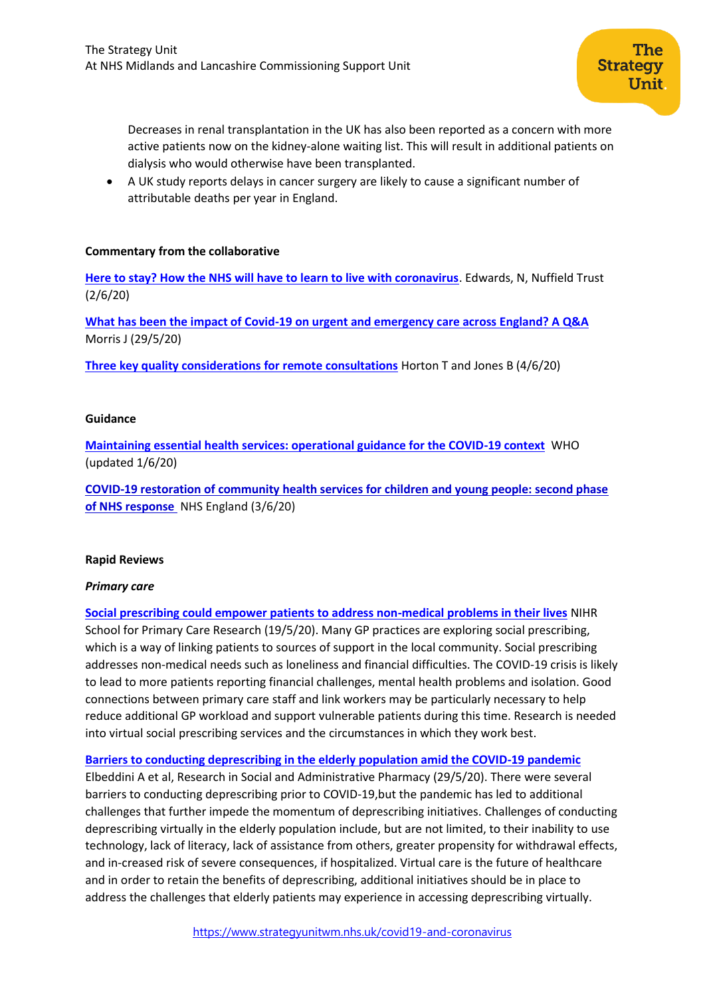Decreases in renal transplantation in the UK has also been reported as a concern with more active patients now on the kidney-alone waiting list. This will result in additional patients on dialysis who would otherwise have been transplanted.

• A UK study reports delays in cancer surgery are likely to cause a significant number of attributable deaths per year in England.

#### **Commentary from the collaborative**

**[Here to stay? How the NHS will have to learn to live with coronavirus](https://www.nuffieldtrust.org.uk/resource/here-to-stay-how-the-nhs-will-have-to-learn-to-live-with-coronavirus)**. Edwards, N, Nuffield Trust (2/6/20)

**[What has been the impact of Covid-19 on urgent and emergency care across England? A Q&A](https://www.nuffieldtrust.org.uk/news-item/what-has-been-the-impact-of-covid-19-on-urgent-and-emergency-care-across-england)** Morris J (29/5/20)

**[Three key quality considerations for remote consultations](https://www.health.org.uk/news-and-comment/blogs/three-key-quality-considerations-for-remote-consultations)** Horton T and Jones B (4/6/20)

#### **Guidance**

**[Maintaining essential health services: operational guidance for the COVID-19 context](https://www.who.int/publications/i/item/10665-332240)** WHO (updated 1/6/20)

**[COVID-19 restoration of community health services for children and young people: second phase](https://nice.us8.list-manage.com/track/click?u=7864f766b10b8edd18f19aa56&id=6df7350032&e=a112e65c8a)  [of NHS response](https://nice.us8.list-manage.com/track/click?u=7864f766b10b8edd18f19aa56&id=6df7350032&e=a112e65c8a)** NHS England (3/6/20)

#### **Rapid Reviews**

#### *Primary care*

**[Social prescribing could empower patients to address non-medical problems in their lives](https://evidence.nihr.ac.uk/alert/social-prescribing-could-empower-patients-to-address-non-medical-problems-in-their-lives/)** NIHR School for Primary Care Research (19/5/20). Many GP practices are exploring social prescribing, which is a way of linking patients to sources of support in the local community. Social prescribing addresses non-medical needs such as loneliness and financial difficulties. The COVID-19 crisis is likely to lead to more patients reporting financial challenges, mental health problems and isolation. Good connections between primary care staff and link workers may be particularly necessary to help reduce additional GP workload and support vulnerable patients during this time. Research is needed into virtual social prescribing services and the circumstances in which they work best.

**[Barriers to conducting deprescribing in the elderly population amid the COVID-19 pandemic](https://www.sciencedirect.com/science/article/pii/S1551741120306021?via%3Dihub)**

Elbeddini A et al, Research in Social and Administrative Pharmacy (29/5/20). There were several barriers to conducting deprescribing prior to COVID-19,but the pandemic has led to additional challenges that further impede the momentum of deprescribing initiatives. Challenges of conducting deprescribing virtually in the elderly population include, but are not limited, to their inability to use technology, lack of literacy, lack of assistance from others, greater propensity for withdrawal effects, and in-creased risk of severe consequences, if hospitalized. Virtual care is the future of healthcare and in order to retain the benefits of deprescribing, additional initiatives should be in place to address the challenges that elderly patients may experience in accessing deprescribing virtually.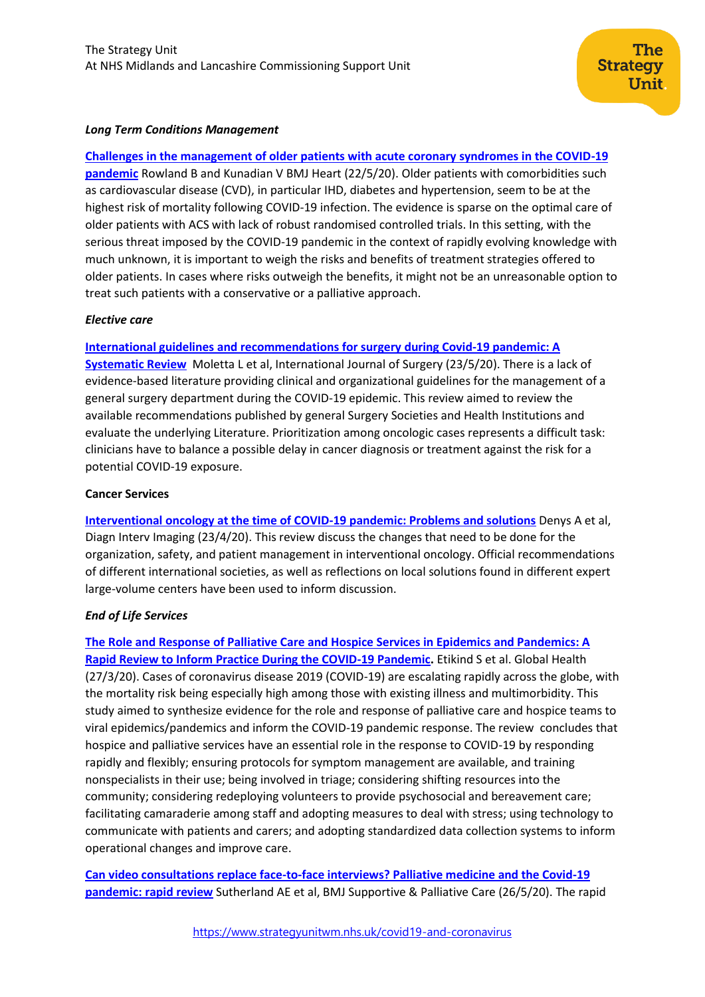#### *Long Term Conditions Management*

**[Challenges in the management of older patients with acute coronary syndromes in the COVID-19](https://heart.bmj.com/content/early/2020/05/21/heartjnl-2020-317011)  [pandemic](https://heart.bmj.com/content/early/2020/05/21/heartjnl-2020-317011)** Rowland B and Kunadian V BMJ Heart (22/5/20). Older patients with comorbidities such as cardiovascular disease (CVD), in particular IHD, diabetes and hypertension, seem to be at the highest risk of mortality following COVID-19 infection. The evidence is sparse on the optimal care of older patients with ACS with lack of robust randomised controlled trials. In this setting, with the serious threat imposed by the COVID-19 pandemic in the context of rapidly evolving knowledge with much unknown, it is important to weigh the risks and benefits of treatment strategies offered to older patients. In cases where risks outweigh the benefits, it might not be an unreasonable option to treat such patients with a conservative or a palliative approach.

#### *Elective care*

## **[International guidelines and recommendations for surgery during Covid-19 pandemic: A](https://www.sciencedirect.com/science/article/pii/S1743919120304441?via%3Dihub)**

**[Systematic Review](https://www.sciencedirect.com/science/article/pii/S1743919120304441?via%3Dihub)** Moletta L et al, International Journal of Surgery (23/5/20). There is a lack of evidence-based literature providing clinical and organizational guidelines for the management of a general surgery department during the COVID-19 epidemic. This review aimed to review the available recommendations published by general Surgery Societies and Health Institutions and evaluate the underlying Literature. Prioritization among oncologic cases represents a difficult task: clinicians have to balance a possible delay in cancer diagnosis or treatment against the risk for a potential COVID-19 exposure.

#### **Cancer Services**

**[Interventional oncology at the time of COVID-19 pandemic: Problems and solutions](https://pubmed.ncbi.nlm.nih.gov/32360351/)** Denys A et al, Diagn Interv Imaging (23/4/20). This review discuss the changes that need to be done for the organization, safety, and patient management in interventional oncology. Official recommendations of different international societies, as well as reflections on local solutions found in different expert large-volume centers have been used to inform discussion.

#### *End of Life Services*

**[The Role and Response of Palliative Care and Hospice Services in Epidemics and Pandemics: A](https://www.jpsmjournal.com/article/S0885-3924(20)30182-2/pdf)  [Rapid Review to Inform Practice During the COVID-19 Pandemic.](https://www.jpsmjournal.com/article/S0885-3924(20)30182-2/pdf)** Etikind S et al. Global Health (27/3/20). Cases of coronavirus disease 2019 (COVID-19) are escalating rapidly across the globe, with the mortality risk being especially high among those with existing illness and multimorbidity. This study aimed to synthesize evidence for the role and response of palliative care and hospice teams to viral epidemics/pandemics and inform the COVID-19 pandemic response. The review concludes that hospice and palliative services have an essential role in the response to COVID-19 by responding rapidly and flexibly; ensuring protocols for symptom management are available, and training nonspecialists in their use; being involved in triage; considering shifting resources into the community; considering redeploying volunteers to provide psychosocial and bereavement care; facilitating camaraderie among staff and adopting measures to deal with stress; using technology to communicate with patients and carers; and adopting standardized data collection systems to inform operational changes and improve care.

**[Can video consultations replace face-to-face interviews? Palliative medicine and the Covid-19](https://spcare.bmj.com/content/early/2020/05/26/bmjspcare-2020-002326)  [pandemic: rapid review](https://spcare.bmj.com/content/early/2020/05/26/bmjspcare-2020-002326)** Sutherland AE et al, BMJ Supportive & Palliative Care (26/5/20). The rapid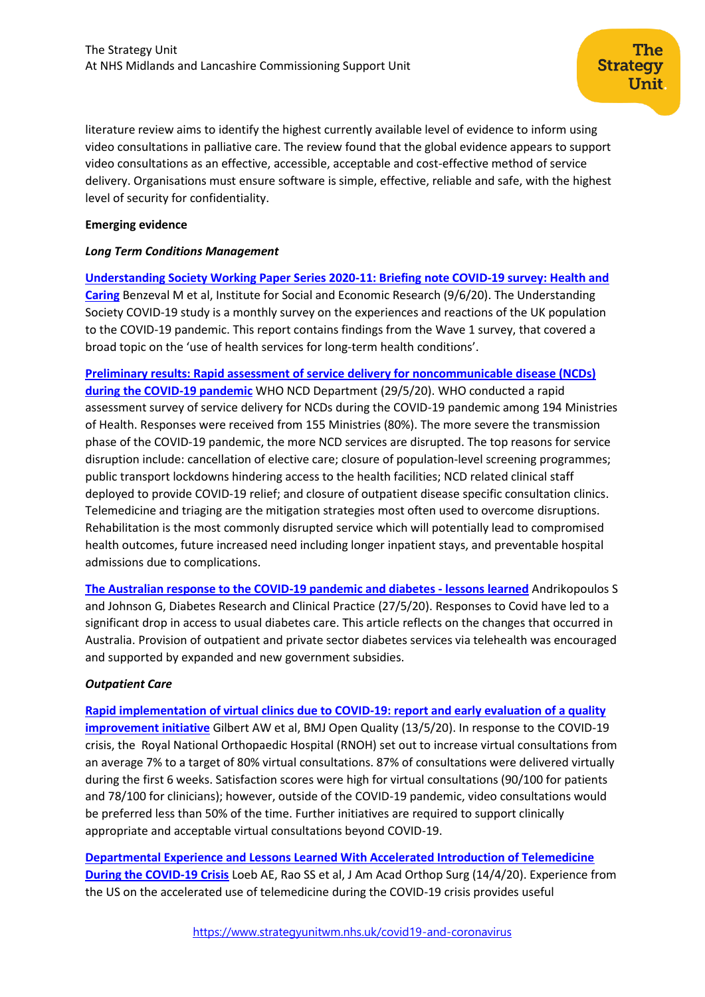literature review aims to identify the highest currently available level of evidence to inform using video consultations in palliative care. The review found that the global evidence appears to support video consultations as an effective, accessible, acceptable and cost-effective method of service delivery. Organisations must ensure software is simple, effective, reliable and safe, with the highest level of security for confidentiality.

#### **Emerging evidence**

#### *Long Term Conditions Management*

**[Understanding Society Working Paper Series 2020-11: Briefing note COVID-19 survey: Health and](https://www.iser.essex.ac.uk/research/publications/working-papers/understanding-society/2020-11)  [Caring](https://www.iser.essex.ac.uk/research/publications/working-papers/understanding-society/2020-11)** Benzeval M et al, Institute for Social and Economic Research (9/6/20). The Understanding Society COVID-19 study is a monthly survey on the experiences and reactions of the UK population to the COVID-19 pandemic. This report contains findings from the Wave 1 survey, that covered a broad topic on the 'use of health services for long-term health conditions'.

**[Preliminary results: Rapid assessment of service delivery for noncommunicable disease \(NCDs\)](https://www.who.int/who-documents-detail/rapid-assessment-of-service-delivery-for-ncds-during-the-covid-19-pandemic)  [during the COVID-19 pandemic](https://www.who.int/who-documents-detail/rapid-assessment-of-service-delivery-for-ncds-during-the-covid-19-pandemic)** WHO NCD Department (29/5/20). WHO conducted a rapid assessment survey of service delivery for NCDs during the COVID-19 pandemic among 194 Ministries of Health. Responses were received from 155 Ministries (80%). The more severe the transmission phase of the COVID-19 pandemic, the more NCD services are disrupted. The top reasons for service disruption include: cancellation of elective care; closure of population-level screening programmes; public transport lockdowns hindering access to the health facilities; NCD related clinical staff deployed to provide COVID-19 relief; and closure of outpatient disease specific consultation clinics. Telemedicine and triaging are the mitigation strategies most often used to overcome disruptions. Rehabilitation is the most commonly disrupted service which will potentially lead to compromised health outcomes, future increased need including longer inpatient stays, and preventable hospital admissions due to complications.

**[The Australian response to the COVID-19 pandemic and diabetes -](https://www.diabetesresearchclinicalpractice.com/article/S0168-8227(20)30496-4/pdf) lessons learned** Andrikopoulos S and Johnson G, Diabetes Research and Clinical Practice (27/5/20). Responses to Covid have led to a significant drop in access to usual diabetes care. This article reflects on the changes that occurred in Australia. Provision of outpatient and private sector diabetes services via telehealth was encouraged and supported by expanded and new government subsidies.

## *Outpatient Care*

**[Rapid implementation of virtual clinics due to COVID-19: report and early evaluation of a quality](https://bmjopenquality.bmj.com/content/9/2/e000985)  [improvement initiative](https://bmjopenquality.bmj.com/content/9/2/e000985)** Gilbert AW et al, BMJ Open Quality (13/5/20). In response to the COVID-19 crisis, the Royal National Orthopaedic Hospital (RNOH) set out to increase virtual consultations from an average 7% to a target of 80% virtual consultations. 87% of consultations were delivered virtually during the first 6 weeks. Satisfaction scores were high for virtual consultations (90/100 for patients and 78/100 for clinicians); however, outside of the COVID-19 pandemic, video consultations would be preferred less than 50% of the time. Further initiatives are required to support clinically appropriate and acceptable virtual consultations beyond COVID-19.

**[Departmental Experience and Lessons Learned With Accelerated Introduction of Telemedicine](https://www.ncbi.nlm.nih.gov/pmc/articles/PMC7195846/)  [During the COVID-19 Crisis](https://www.ncbi.nlm.nih.gov/pmc/articles/PMC7195846/)** Loeb AE, Rao SS et al, J Am Acad Orthop Surg (14/4/20). Experience from the US on the accelerated use of telemedicine during the COVID-19 crisis provides useful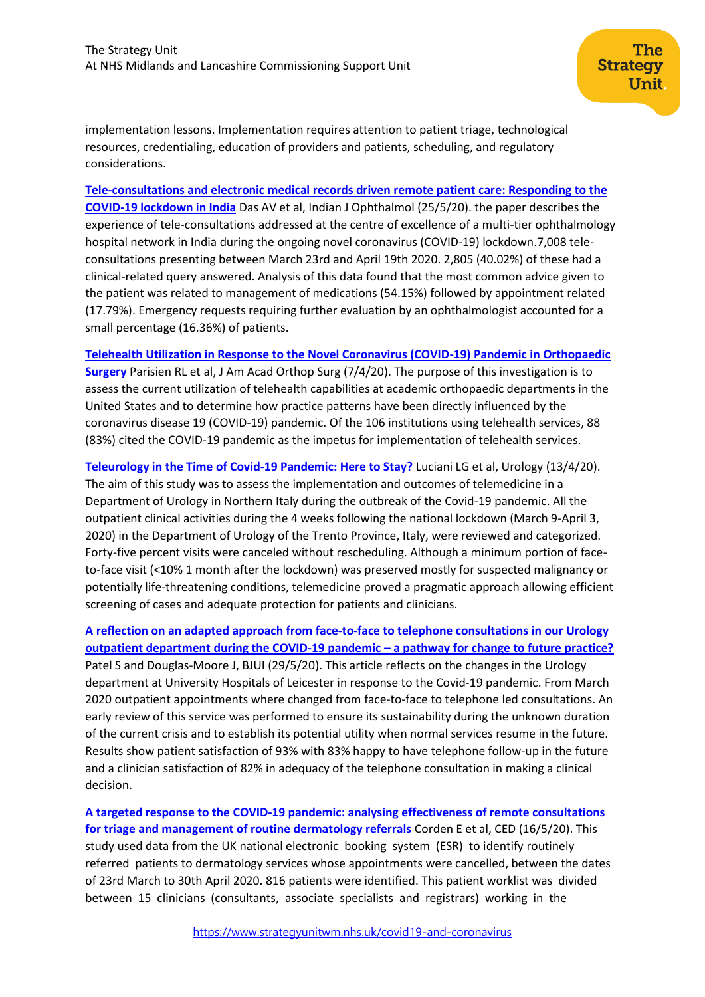implementation lessons. Implementation requires attention to patient triage, technological resources, credentialing, education of providers and patients, scheduling, and regulatory considerations.

**[Tele-consultations and electronic medical records driven remote patient care: Responding to the](https://pubmed.ncbi.nlm.nih.gov/32461415/)  [COVID-19 lockdown in India](https://pubmed.ncbi.nlm.nih.gov/32461415/)** Das AV et al, Indian J Ophthalmol (25/5/20). the paper describes the experience of tele-consultations addressed at the centre of excellence of a multi-tier ophthalmology hospital network in India during the ongoing novel coronavirus (COVID-19) lockdown.7,008 teleconsultations presenting between March 23rd and April 19th 2020. 2,805 (40.02%) of these had a clinical-related query answered. Analysis of this data found that the most common advice given to the patient was related to management of medications (54.15%) followed by appointment related (17.79%). Emergency requests requiring further evaluation by an ophthalmologist accounted for a small percentage (16.36%) of patients.

**[Telehealth Utilization in Response to the Novel Coronavirus \(COVID-19\) Pandemic in Orthopaedic](https://www.ncbi.nlm.nih.gov/pmc/articles/PMC7197336/)  [Surgery](https://www.ncbi.nlm.nih.gov/pmc/articles/PMC7197336/)** Parisien RL et al, J Am Acad Orthop Surg (7/4/20). The purpose of this investigation is to assess the current utilization of telehealth capabilities at academic orthopaedic departments in the United States and to determine how practice patterns have been directly influenced by the coronavirus disease 19 (COVID-19) pandemic. Of the 106 institutions using telehealth services, 88 (83%) cited the COVID-19 pandemic as the impetus for implementation of telehealth services.

**[Teleurology in the Time of Covid-19 Pandemic: Here to Stay?](https://pubmed.ncbi.nlm.nih.gov/32298686/)** Luciani LG et al, Urology (13/4/20). The aim of this study was to assess the implementation and outcomes of telemedicine in a Department of Urology in Northern Italy during the outbreak of the Covid-19 pandemic. All the outpatient clinical activities during the 4 weeks following the national lockdown (March 9-April 3, 2020) in the Department of Urology of the Trento Province, Italy, were reviewed and categorized. Forty-five percent visits were canceled without rescheduling. Although a minimum portion of faceto-face visit (<10% 1 month after the lockdown) was preserved mostly for suspected malignancy or potentially life-threatening conditions, telemedicine proved a pragmatic approach allowing efficient screening of cases and adequate protection for patients and clinicians.

**[A reflection on an adapted approach from face‐to‐face to telephone consultations in our Urology](https://bjui-journals.onlinelibrary.wiley.com/doi/abs/10.1111/bju.15119)  [outpatient department during the COVID‐19 pandemic –](https://bjui-journals.onlinelibrary.wiley.com/doi/abs/10.1111/bju.15119) a pathway for change to future practice?** Patel S and Douglas-Moore J, BJUI (29/5/20). This article reflects on the changes in the Urology department at University Hospitals of Leicester in response to the Covid-19 pandemic. From March 2020 outpatient appointments where changed from face‐to‐face to telephone led consultations. An early review of this service was performed to ensure its sustainability during the unknown duration of the current crisis and to establish its potential utility when normal services resume in the future. Results show patient satisfaction of 93% with 83% happy to have telephone follow‐up in the future and a clinician satisfaction of 82% in adequacy of the telephone consultation in making a clinical decision.

**[A targeted response to the COVID‐19 pandemic: analysing effectiveness of remote consultations](https://onlinelibrary.wiley.com/doi/epdf/10.1111/ced.14289)  [for triage and management of routine dermatology referrals](https://onlinelibrary.wiley.com/doi/epdf/10.1111/ced.14289)** Corden E et al, CED (16/5/20). This study used data from the UK national electronic booking system (ESR) to identify routinely referred patients to dermatology services whose appointments were cancelled, between the dates of 23rd March to 30th April 2020. 816 patients were identified. This patient worklist was divided between 15 clinicians (consultants, associate specialists and registrars) working in the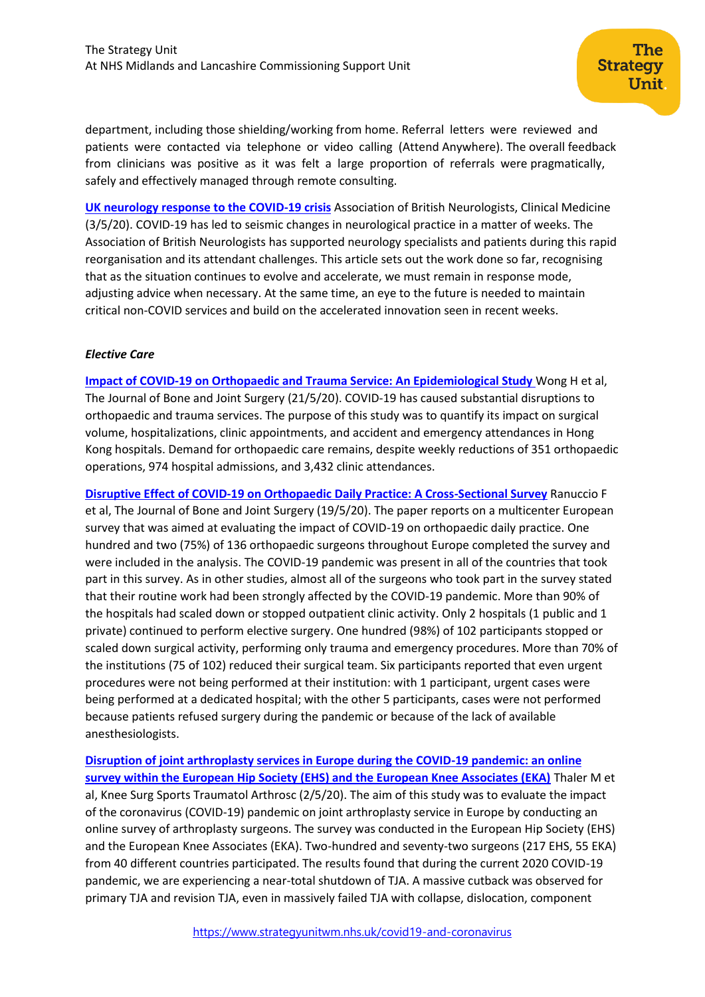department, including those shielding/working from home. Referral letters were reviewed and patients were contacted via telephone or video calling (Attend Anywhere). The overall feedback from clinicians was positive as it was felt a large proportion of referrals were pragmatically, safely and effectively managed through remote consulting.

**[UK neurology response to the COVID-19 crisis](https://www.rcpjournals.org/content/clinmedicine/early/2020/04/30/clinmed.2020-0159.full.pdf)** Association of British Neurologists, Clinical Medicine (3/5/20). COVID-19 has led to seismic changes in neurological practice in a matter of weeks. The Association of British Neurologists has supported neurology specialists and patients during this rapid reorganisation and its attendant challenges. This article sets out the work done so far, recognising that as the situation continues to evolve and accelerate, we must remain in response mode, adjusting advice when necessary. At the same time, an eye to the future is needed to maintain critical non-COVID services and build on the accelerated innovation seen in recent weeks.

#### *Elective Care*

**[Impact of COVID-19 on Orthopaedic and Trauma Service: An Epidemiological Study](https://journals.lww.com/jbjsjournal/Abstract/9000/Impact_of_COVID_19_on_Orthopaedic_and_Trauma.99708.aspx)** Wong H et al, The Journal of Bone and Joint Surgery (21/5/20). COVID-19 has caused substantial disruptions to orthopaedic and trauma services. The purpose of this study was to quantify its impact on surgical volume, hospitalizations, clinic appointments, and accident and emergency attendances in Hong Kong hospitals. Demand for orthopaedic care remains, despite weekly reductions of 351 orthopaedic operations, 974 hospital admissions, and 3,432 clinic attendances.

**[Disruptive Effect of COVID-19 on Orthopaedic Daily Practice: A Cross-Sectional Survey](https://journals.lww.com/jbjsjournal/Citation/9000/Disruptive_Effect_of_COVID_19_on_Orthopaedic_Daily.99712.aspx)** Ranuccio F et al, The Journal of Bone and Joint Surgery (19/5/20). The paper reports on a multicenter European survey that was aimed at evaluating the impact of COVID-19 on orthopaedic daily practice. One hundred and two (75%) of 136 orthopaedic surgeons throughout Europe completed the survey and were included in the analysis. The COVID-19 pandemic was present in all of the countries that took part in this survey. As in other studies, almost all of the surgeons who took part in the survey stated that their routine work had been strongly affected by the COVID-19 pandemic. More than 90% of the hospitals had scaled down or stopped outpatient clinic activity. Only 2 hospitals (1 public and 1 private) continued to perform elective surgery. One hundred (98%) of 102 participants stopped or scaled down surgical activity, performing only trauma and emergency procedures. More than 70% of the institutions (75 of 102) reduced their surgical team. Six participants reported that even urgent procedures were not being performed at their institution: with 1 participant, urgent cases were being performed at a dedicated hospital; with the other 5 participants, cases were not performed because patients refused surgery during the pandemic or because of the lack of available anesthesiologists.

**[Disruption of joint arthroplasty services in Europe during the COVID-19 pandemic: an online](https://pubmed.ncbi.nlm.nih.gov/32361927/)  [survey within the European Hip Society \(EHS\) and the European Knee Associates \(EKA\)](https://pubmed.ncbi.nlm.nih.gov/32361927/)** Thaler M et al, Knee Surg Sports Traumatol Arthrosc (2/5/20). The aim of this study was to evaluate the impact of the coronavirus (COVID-19) pandemic on joint arthroplasty service in Europe by conducting an online survey of arthroplasty surgeons. The survey was conducted in the European Hip Society (EHS) and the European Knee Associates (EKA). Two-hundred and seventy-two surgeons (217 EHS, 55 EKA) from 40 different countries participated. The results found that during the current 2020 COVID-19 pandemic, we are experiencing a near-total shutdown of TJA. A massive cutback was observed for primary TJA and revision TJA, even in massively failed TJA with collapse, dislocation, component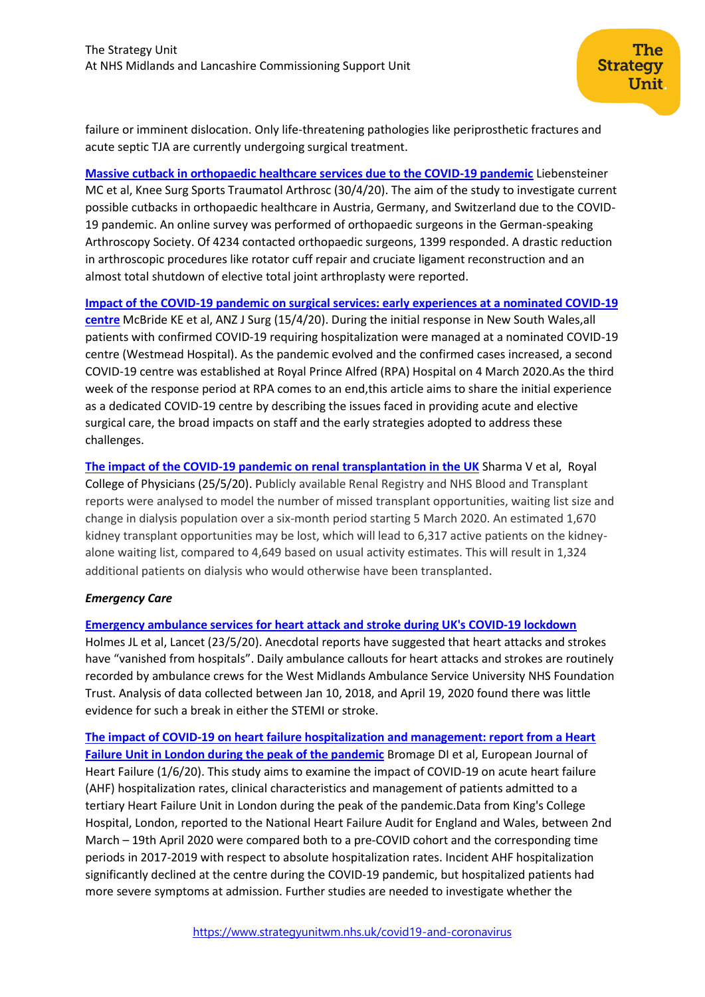failure or imminent dislocation. Only life-threatening pathologies like periprosthetic fractures and acute septic TJA are currently undergoing surgical treatment.

**[Massive cutback in orthopaedic healthcare services due to the COVID-19 pandemic](https://www.ncbi.nlm.nih.gov/pmc/articles/PMC7192059/)** Liebensteiner MC et al, Knee Surg Sports Traumatol Arthrosc (30/4/20). The aim of the study to investigate current possible cutbacks in orthopaedic healthcare in Austria, Germany, and Switzerland due to the COVID-19 pandemic. An online survey was performed of orthopaedic surgeons in the German-speaking Arthroscopy Society. Of 4234 contacted orthopaedic surgeons, 1399 responded. A drastic reduction in arthroscopic procedures like rotator cuff repair and cruciate ligament reconstruction and an almost total shutdown of elective total joint arthroplasty were reported.

**[Impact of the COVID-19 pandemic on surgical services: early experiences at a nominated COVID-19](https://www.ncbi.nlm.nih.gov/pmc/articles/PMC7262155/pdf/ANS-90-663.pdf)  [centre](https://www.ncbi.nlm.nih.gov/pmc/articles/PMC7262155/pdf/ANS-90-663.pdf)** McBride KE et al, ANZ J Surg (15/4/20). During the initial response in New South Wales,all patients with confirmed COVID-19 requiring hospitalization were managed at a nominated COVID-19 centre (Westmead Hospital). As the pandemic evolved and the confirmed cases increased, a second COVID-19 centre was established at Royal Prince Alfred (RPA) Hospital on 4 March 2020.As the third week of the response period at RPA comes to an end,this article aims to share the initial experience as a dedicated COVID-19 centre by describing the issues faced in providing acute and elective surgical care, the broad impacts on staff and the early strategies adopted to address these challenges.

**[The impact of the COVID-19 pandemic on renal transplantation in the UK](https://www.rcpjournals.org/content/clinmedicine/early/2020/05/25/clinmed.2020-0183)** Sharma V et al, Royal College of Physicians (25/5/20). Publicly available Renal Registry and NHS Blood and Transplant reports were analysed to model the number of missed transplant opportunities, waiting list size and change in dialysis population over a six-month period starting 5 March 2020. An estimated 1,670 kidney transplant opportunities may be lost, which will lead to 6,317 active patients on the kidneyalone waiting list, compared to 4,649 based on usual activity estimates. This will result in 1,324 additional patients on dialysis who would otherwise have been transplanted.

## *Emergency Care*

## **[Emergency ambulance services for heart attack and stroke during UK's COVID-19 lockdown](https://pubmed.ncbi.nlm.nih.gov/32416787/)**

Holmes JL et al, Lancet (23/5/20). Anecdotal reports have suggested that heart attacks and strokes have "vanished from hospitals". Daily ambulance callouts for heart attacks and strokes are routinely recorded by ambulance crews for the West Midlands Ambulance Service University NHS Foundation Trust. Analysis of data collected between Jan 10, 2018, and April 19, 2020 found there was little evidence for such a break in either the STEMI or stroke.

**[The impact of COVID‐19 on heart failure hospitalization and management: report from a Heart](https://onlinelibrary.wiley.com/doi/abs/10.1002/ejhf.1925)  [Failure Unit in London during the peak of the pandemic](https://onlinelibrary.wiley.com/doi/abs/10.1002/ejhf.1925)** Bromage DI et al, European Journal of Heart Failure (1/6/20). This study aims to examine the impact of COVID‐19 on acute heart failure (AHF) hospitalization rates, clinical characteristics and management of patients admitted to a tertiary Heart Failure Unit in London during the peak of the pandemic.Data from King's College Hospital, London, reported to the National Heart Failure Audit for England and Wales, between 2nd March – 19th April 2020 were compared both to a pre‐COVID cohort and the corresponding time periods in 2017‐2019 with respect to absolute hospitalization rates. Incident AHF hospitalization significantly declined at the centre during the COVID‐19 pandemic, but hospitalized patients had more severe symptoms at admission. Further studies are needed to investigate whether the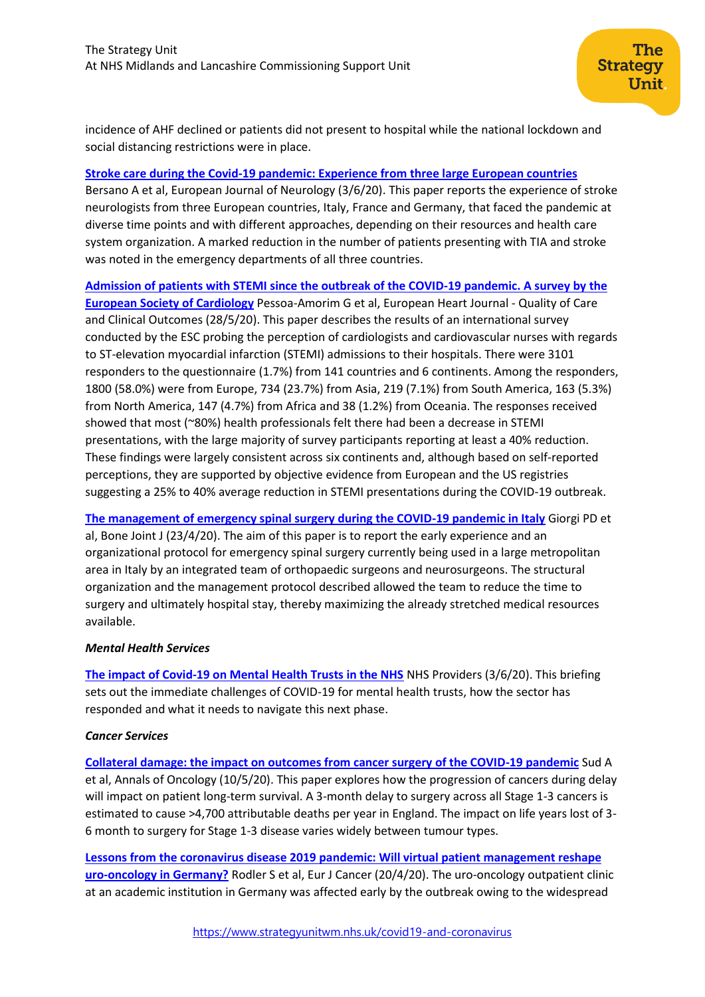incidence of AHF declined or patients did not present to hospital while the national lockdown and social distancing restrictions were in place.

## **[Stroke care during the Covid‐19 pandemic: Experience fr](https://onlinelibrary.wiley.com/doi/abs/10.1111/ene.14375)om three large European countries**

Bersano A et al, European Journal of Neurology (3/6/20). This paper reports the experience of stroke neurologists from three European countries, Italy, France and Germany, that faced the pandemic at diverse time points and with different approaches, depending on their resources and health care system organization. A marked reduction in the number of patients presenting with TIA and stroke was noted in the emergency departments of all three countries.

**[Admission of patients with STEMI since the outbreak of the COVID-19 pandemic. A survey by the](https://academic.oup.com/ehjqcco/advance-article/doi/10.1093/ehjqcco/qcaa046/5848410)  [European Society of Cardiology](https://academic.oup.com/ehjqcco/advance-article/doi/10.1093/ehjqcco/qcaa046/5848410)** Pessoa-Amorim G et al, European Heart Journal - Quality of Care and Clinical Outcomes (28/5/20). This paper describes the results of an international survey conducted by the ESC probing the perception of cardiologists and cardiovascular nurses with regards to ST-elevation myocardial infarction (STEMI) admissions to their hospitals. There were 3101 responders to the questionnaire (1.7%) from 141 countries and 6 continents. Among the responders, 1800 (58.0%) were from Europe, 734 (23.7%) from Asia, 219 (7.1%) from South America, 163 (5.3%) from North America, 147 (4.7%) from Africa and 38 (1.2%) from Oceania. The responses received showed that most (~80%) health professionals felt there had been a decrease in STEMI presentations, with the large majority of survey participants reporting at least a 40% reduction. These findings were largely consistent across six continents and, although based on self-reported perceptions, they are supported by objective evidence from European and the US registries suggesting a 25% to 40% average reduction in STEMI presentations during the COVID-19 outbreak.

**[The management of emergency spinal surgery during the COVID-19 pandemic in Italy](https://pubmed.ncbi.nlm.nih.gov/32323563/)** Giorgi PD et al, Bone Joint J (23/4/20). The aim of this paper is to report the early experience and an organizational protocol for emergency spinal surgery currently being used in a large metropolitan area in Italy by an integrated team of orthopaedic surgeons and neurosurgeons. The structural organization and the management protocol described allowed the team to reduce the time to surgery and ultimately hospital stay, thereby maximizing the already stretched medical resources available.

## *Mental Health Services*

**[The impact of Covid-19 on Mental Health Trusts in the NHS](https://nhsproviders.org/media/689590/spotlight-on-mental-health.pdf)** NHS Providers (3/6/20). This briefing sets out the immediate challenges of COVID-19 for mental health trusts, how the sector has responded and what it needs to navigate this next phase.

## *Cancer Services*

**[Collateral damage: the impact on outcomes from cancer surgery of the COVID-19 pandemic](https://www.annalsofoncology.org/article/S0923-7534(20)39825-2/pdf)** Sud A et al, Annals of Oncology (10/5/20). This paper explores how the progression of cancers during delay will impact on patient long-term survival. A 3-month delay to surgery across all Stage 1-3 cancers is estimated to cause >4,700 attributable deaths per year in England. The impact on life years lost of 3- 6 month to surgery for Stage 1-3 disease varies widely between tumour types.

**[Lessons from the coronavirus disease 2019 pandemic: Will virtual patient management reshape](https://www.ncbi.nlm.nih.gov/pmc/articles/PMC7167574/)  [uro-oncology in Germany?](https://www.ncbi.nlm.nih.gov/pmc/articles/PMC7167574/)** Rodler S et al, Eur J Cancer (20/4/20). The uro-oncology outpatient clinic at an academic institution in Germany was affected early by the outbreak owing to the widespread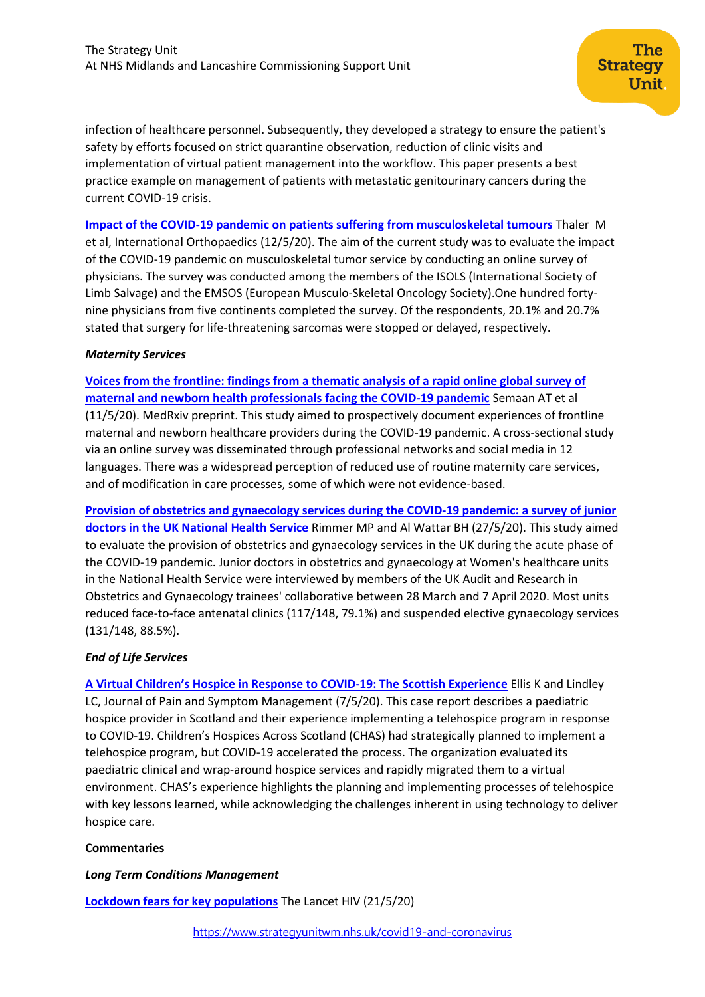infection of healthcare personnel. Subsequently, they developed a strategy to ensure the patient's safety by efforts focused on strict quarantine observation, reduction of clinic visits and implementation of virtual patient management into the workflow. This paper presents a best practice example on management of patients with metastatic genitourinary cancers during the current COVID-19 crisis.

**[Impact of the COVID-19 pandemic on patients suffering from musculoskeletal tumours](https://link.springer.com/article/10.1007%2Fs00264-020-04636-4)** Thaler M et al, International Orthopaedics (12/5/20). The aim of the current study was to evaluate the impact of the COVID-19 pandemic on musculoskeletal tumor service by conducting an online survey of physicians. The survey was conducted among the members of the ISOLS (International Society of Limb Salvage) and the EMSOS (European Musculo-Skeletal Oncology Society).One hundred fortynine physicians from five continents completed the survey. Of the respondents, 20.1% and 20.7% stated that surgery for life-threatening sarcomas were stopped or delayed, respectively.

#### *Maternity Services*

**[Voices from the frontline: findings from a thematic analysis of a rapid online global survey of](https://www.medrxiv.org/content/10.1101/2020.05.08.20093393v1)  [maternal and newborn health professionals facing the COVID-19 pandemic](https://www.medrxiv.org/content/10.1101/2020.05.08.20093393v1)** Semaan AT et al (11/5/20). MedRxiv preprint. This study aimed to prospectively document experiences of frontline maternal and newborn healthcare providers during the COVID-19 pandemic. A cross-sectional study via an online survey was disseminated through professional networks and social media in 12 languages. There was a widespread perception of reduced use of routine maternity care services, and of modification in care processes, some of which were not evidence-based.

**[Provision of obstetrics and gynaecology services during the COVID‐19 pandemic: a survey of junior](https://obgyn.onlinelibrary.wiley.com/doi/10.1111/1471-0528.16313)  [doctors in the UK National Health Service](https://obgyn.onlinelibrary.wiley.com/doi/10.1111/1471-0528.16313)** Rimmer MP and Al Wattar BH (27/5/20). This study aimed to evaluate the provision of obstetrics and gynaecology services in the UK during the acute phase of the COVID‐19 pandemic. Junior doctors in obstetrics and gynaecology at Women's healthcare units in the National Health Service were interviewed by members of the UK Audit and Research in Obstetrics and Gynaecology trainees' collaborative between 28 March and 7 April 2020. Most units reduced face-to-face antenatal clinics (117/148, 79.1%) and suspended elective gynaecology services (131/148, 88.5%).

## *End of Life Services*

**[A Virtual Children's Hospice in Response to COVID](https://www.jpsmjournal.com/article/S0885-3924(20)30387-0/pdf)-19: The Scottish Experience** Ellis K and Lindley LC, Journal of Pain and Symptom Management (7/5/20). This case report describes a paediatric hospice provider in Scotland and their experience implementing a telehospice program in response to COVID-19. Children's Hospices Across Scotland (CHAS) had strategically planned to implement a telehospice program, but COVID-19 accelerated the process. The organization evaluated its paediatric clinical and wrap-around hospice services and rapidly migrated them to a virtual environment. CHAS's experience highlights the planning and implementing processes of telehospice with key lessons learned, while acknowledging the challenges inherent in using technology to deliver hospice care.

## **Commentaries**

## *Long Term Conditions Management*

**[Lockdown fears for key populations](https://www.thelancet.com/journals/lanhiv/article/PIIS2352-3018(20)30143-0/fulltext)** The Lancet HIV (21/5/20)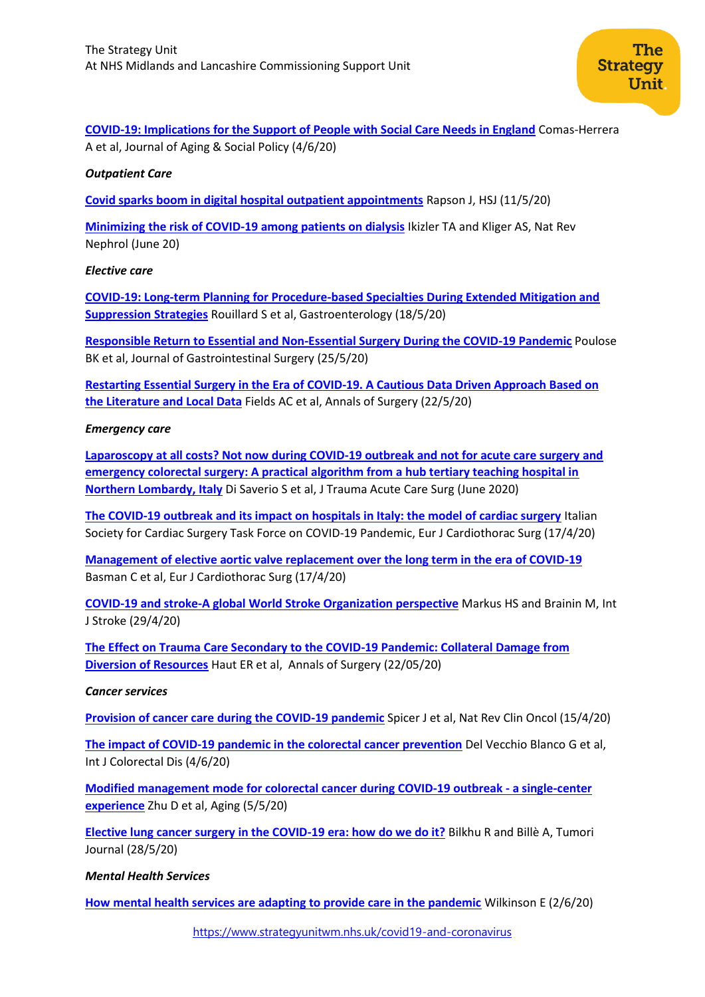**COVID-19: [Implications for the Support of People with Social Care Needs in England](https://www.tandfonline.com/doi/full/10.1080/08959420.2020.1759759)** Comas-Herrera A et al, Journal of Aging & Social Policy (4/6/20)

#### *Outpatient Care*

**[Covid sparks boom in digital hospital outpatient appointments](https://www.hsj.co.uk/technology-and-innovation/covid-sparks-boom-in-digital-hospital-outpatient-appointments/7027590.article)** Rapson J, HSJ (11/5/20)

**[Minimizing the risk of COVID-19 among patients on dialysis](https://pubmed.ncbi.nlm.nih.gov/32249840/)** Ikizler TA and Kliger AS, Nat Rev Nephrol (June 20)

#### *Elective care*

**[COVID-19: Long-term Planning for Procedure-based Specialties During Extended Mitigation and](https://www.ncbi.nlm.nih.gov/pmc/articles/PMC7233227/)  [Suppression Strategies](https://www.ncbi.nlm.nih.gov/pmc/articles/PMC7233227/)** Rouillard S et al, Gastroenterology (18/5/20)

**[Responsible Return to Essential and Non-Essential Surgery During the COVID-19 Pandemic](https://link.springer.com/article/10.1007%2Fs11605-020-04673-9)** Poulose BK et al, Journal of Gastrointestinal Surgery (25/5/20)

**Restarting Essential Surgery in the Era of [COVID-19. A Cautious Data Driven Approach Based on](https://journals.lww.com/annalsofsurgery/Citation/9000/Restarting_Essential_Surgery_in_the_Era_of.94484.aspx) [the Literature and Local Data](https://journals.lww.com/annalsofsurgery/Citation/9000/Restarting_Essential_Surgery_in_the_Era_of.94484.aspx)** Fields AC et al, Annals of Surgery (22/5/20)

#### *Emergency care*

**[Laparoscopy at all costs? Not now during COVID-19 outbreak and not for acute care surgery and](https://pubmed.ncbi.nlm.nih.gov/32282750/)  [emergency colorectal surgery: A practical algorithm from a hub tertiary teaching hospital in](https://pubmed.ncbi.nlm.nih.gov/32282750/)  [Northern Lombardy, Italy](https://pubmed.ncbi.nlm.nih.gov/32282750/)** Di Saverio S et al, J Trauma Acute Care Surg (June 2020)

**[The COVID-19 outbreak and its impact on hospitals in Italy: the model of cardiac surgery](https://www.ncbi.nlm.nih.gov/pmc/articles/PMC7184374/)** Italian Society for Cardiac Surgery Task Force on COVID-19 Pandemic, Eur J Cardiothorac Surg (17/4/20)

**[Management of elective aortic valve replacement over the long term in the era of COVID-19](https://www.ncbi.nlm.nih.gov/pmc/articles/PMC7184510/)** Basman C et al, Eur J Cardiothorac Surg (17/4/20)

**[COVID-19 and stroke-A global World Stroke Organization perspective](https://journals.sagepub.com/doi/pdf/10.1177/1747493020923472)** Markus HS and Brainin M, Int J Stroke (29/4/20)

**[The Effect on Trauma Care Secondary to the COVID-19 Pandemic: Collateral Damage from](https://journals.lww.com/annalsofsurgery/Citation/9000/The_Effect_on_Trauma_Care_Secondary_to_the.94486.aspx)  [Diversion of Resources](https://journals.lww.com/annalsofsurgery/Citation/9000/The_Effect_on_Trauma_Care_Secondary_to_the.94486.aspx)** Haut ER et al, Annals of Surgery (22/05/20)

#### *Cancer services*

**[Provision of cancer care during the COVID-19 pandemic](https://www.ncbi.nlm.nih.gov/pmc/articles/PMC7156894/pdf/41571_2020_Article_370.pdf)** Spicer J et al, Nat Rev Clin Oncol (15/4/20)

**[The impact of COVID-19 pandemic in the colorectal cancer prevention](https://link.springer.com/content/pdf/10.1007/s00384-020-03635-6.pdf)** Del Vecchio Blanco G et al, Int J Colorectal Dis (4/6/20)

**[Modified management mode for colorectal cancer during COVID-19 outbreak -](https://www.ncbi.nlm.nih.gov/pmc/articles/PMC7244023/) a single-center [experience](https://www.ncbi.nlm.nih.gov/pmc/articles/PMC7244023/)** Zhu D et al, Aging (5/5/20)

**[Elective lung cancer surgery in the COVID-19 era: how do we do it?](https://journals.sagepub.com/doi/10.1177/0300891620931568#articleCitationDownloadContainer)** Bilkhu R and Billè A, Tumori Journal (28/5/20)

#### *Mental Health Services*

**[How mental health services are adapting to provide care in the pandemic](https://www.bmj.com/content/369/bmj.m2106)** Wilkinson E (2/6/20)